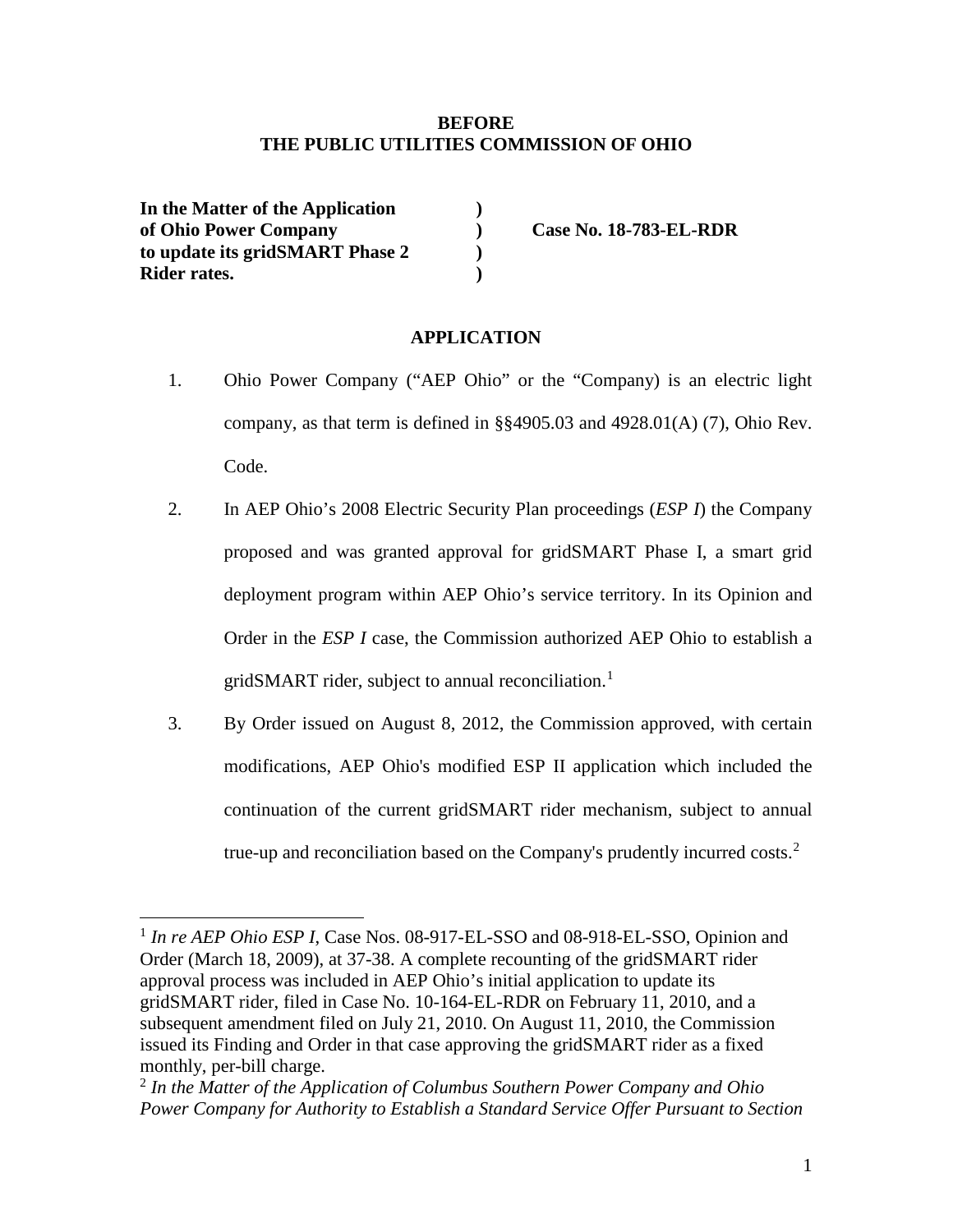## **BEFORE THE PUBLIC UTILITIES COMMISSION OF OHIO**

**In the Matter of the Application ) of Ohio Power Company ) Case No. 18-783-EL-RDR to update its gridSMART Phase 2 ) Rider rates. )**

### **APPLICATION**

- 1. Ohio Power Company ("AEP Ohio" or the "Company) is an electric light company, as that term is defined in §§4905.03 and 4928.01(A) (7), Ohio Rev. Code.
- 2. In AEP Ohio's 2008 Electric Security Plan proceedings (*ESP I*) the Company proposed and was granted approval for gridSMART Phase I, a smart grid deployment program within AEP Ohio's service territory. In its Opinion and Order in the *ESP I* case, the Commission authorized AEP Ohio to establish a gridSMART rider, subject to annual reconciliation.<sup>[1](#page-0-1)</sup>
- 3. By Order issued on August 8, 2012, the Commission approved, with certain modifications, AEP Ohio's modified ESP II application which included the continuation of the current gridSMART rider mechanism, subject to annual true-up and reconciliation based on the Company's prudently incurred costs.<sup>[2](#page-0-0)</sup>

<span id="page-0-1"></span><sup>&</sup>lt;sup>1</sup> *In re AEP Ohio ESP I*, Case Nos. 08-917-EL-SSO and 08-918-EL-SSO, Opinion and Order (March 18, 2009), at 37-38. A complete recounting of the gridSMART rider approval process was included in AEP Ohio's initial application to update its gridSMART rider, filed in Case No. 10-164-EL-RDR on February 11, 2010, and a subsequent amendment filed on July 21, 2010. On August 11, 2010, the Commission issued its Finding and Order in that case approving the gridSMART rider as a fixed monthly, per-bill charge.

<span id="page-0-0"></span><sup>2</sup> *In the Matter of the Application of Columbus Southern Power Company and Ohio Power Company for Authority to Establish a Standard Service Offer Pursuant to Section*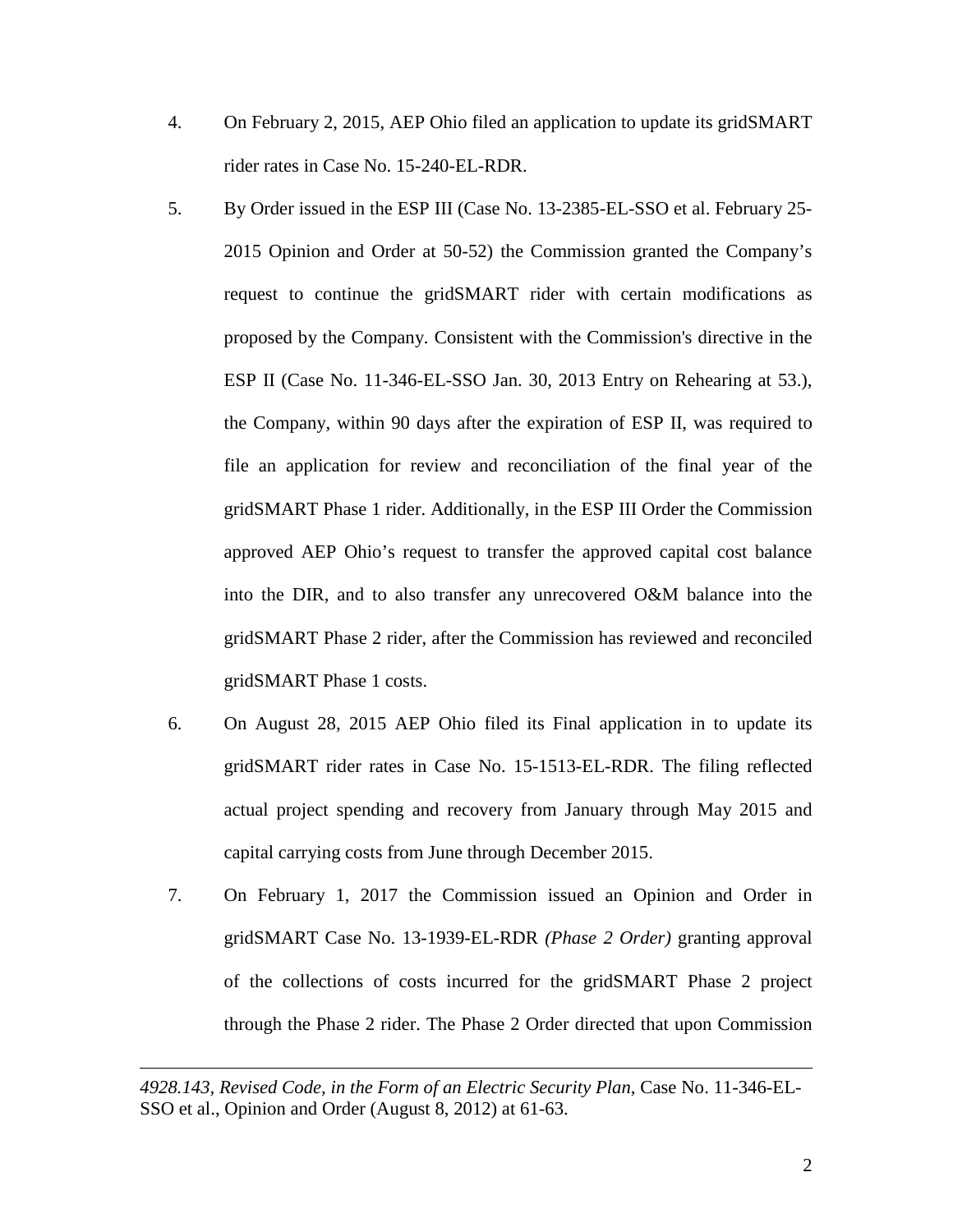- 4. On February 2, 2015, AEP Ohio filed an application to update its gridSMART rider rates in Case No. 15-240-EL-RDR.
- 5. By Order issued in the ESP III (Case No. 13-2385-EL-SSO et al. February 25- 2015 Opinion and Order at 50-52) the Commission granted the Company's request to continue the gridSMART rider with certain modifications as proposed by the Company. Consistent with the Commission's directive in the ESP II (Case No. 11-346-EL-SSO Jan. 30, 2013 Entry on Rehearing at 53.), the Company, within 90 days after the expiration of ESP II, was required to file an application for review and reconciliation of the final year of the gridSMART Phase 1 rider. Additionally, in the ESP III Order the Commission approved AEP Ohio's request to transfer the approved capital cost balance into the DIR, and to also transfer any unrecovered O&M balance into the gridSMART Phase 2 rider, after the Commission has reviewed and reconciled gridSMART Phase 1 costs.
- 6. On August 28, 2015 AEP Ohio filed its Final application in to update its gridSMART rider rates in Case No. 15-1513-EL-RDR. The filing reflected actual project spending and recovery from January through May 2015 and capital carrying costs from June through December 2015.
- 7. On February 1, 2017 the Commission issued an Opinion and Order in gridSMART Case No. 13-1939-EL-RDR *(Phase 2 Order)* granting approval of the collections of costs incurred for the gridSMART Phase 2 project through the Phase 2 rider. The Phase 2 Order directed that upon Commission

*4928.143, Revised Code, in the Form of an Electric Security Plan*, Case No. 11-346-EL-SSO et al., Opinion and Order (August 8, 2012) at 61-63.

 $\overline{a}$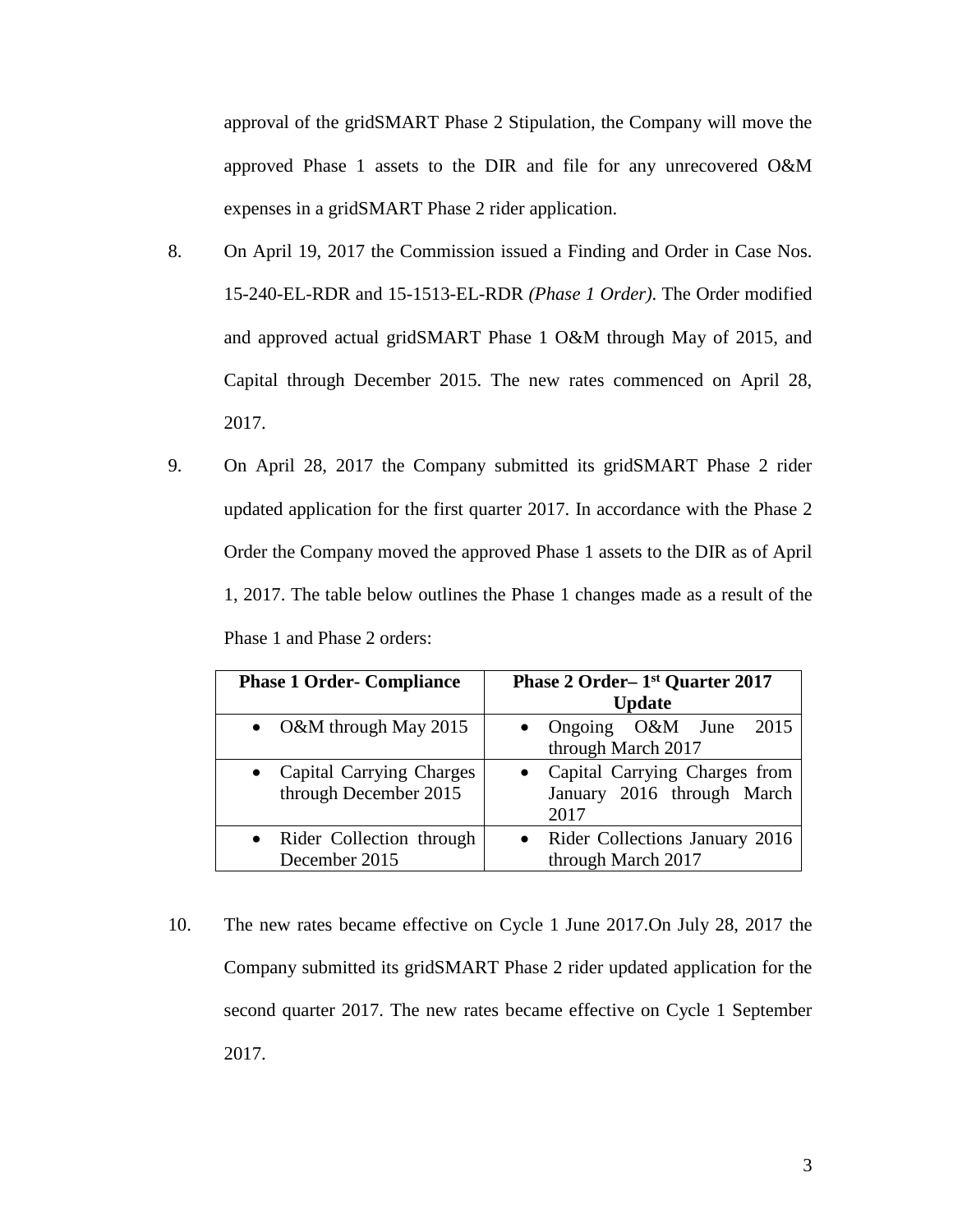approval of the gridSMART Phase 2 Stipulation, the Company will move the approved Phase 1 assets to the DIR and file for any unrecovered O&M expenses in a gridSMART Phase 2 rider application.

- 8. On April 19, 2017 the Commission issued a Finding and Order in Case Nos. 15-240-EL-RDR and 15-1513-EL-RDR *(Phase 1 Order)*. The Order modified and approved actual gridSMART Phase 1 O&M through May of 2015, and Capital through December 2015. The new rates commenced on April 28, 2017.
- 9. On April 28, 2017 the Company submitted its gridSMART Phase 2 rider updated application for the first quarter 2017. In accordance with the Phase 2 Order the Company moved the approved Phase 1 assets to the DIR as of April 1, 2017. The table below outlines the Phase 1 changes made as a result of the Phase 1 and Phase 2 orders:

| <b>Phase 1 Order- Compliance</b>                  | Phase 2 Order-1 <sup>st</sup> Quarter 2017<br><b>Update</b>         |  |  |  |  |  |  |  |  |
|---------------------------------------------------|---------------------------------------------------------------------|--|--|--|--|--|--|--|--|
| • O&M through May 2015                            | 2015<br>Ongoing O&M June<br>through March 2017                      |  |  |  |  |  |  |  |  |
| Capital Carrying Charges<br>through December 2015 | Capital Carrying Charges from<br>January 2016 through March<br>2017 |  |  |  |  |  |  |  |  |
| • Rider Collection through<br>December 2015       | Rider Collections January 2016<br>through March 2017                |  |  |  |  |  |  |  |  |

10. The new rates became effective on Cycle 1 June 2017.On July 28, 2017 the Company submitted its gridSMART Phase 2 rider updated application for the second quarter 2017. The new rates became effective on Cycle 1 September 2017.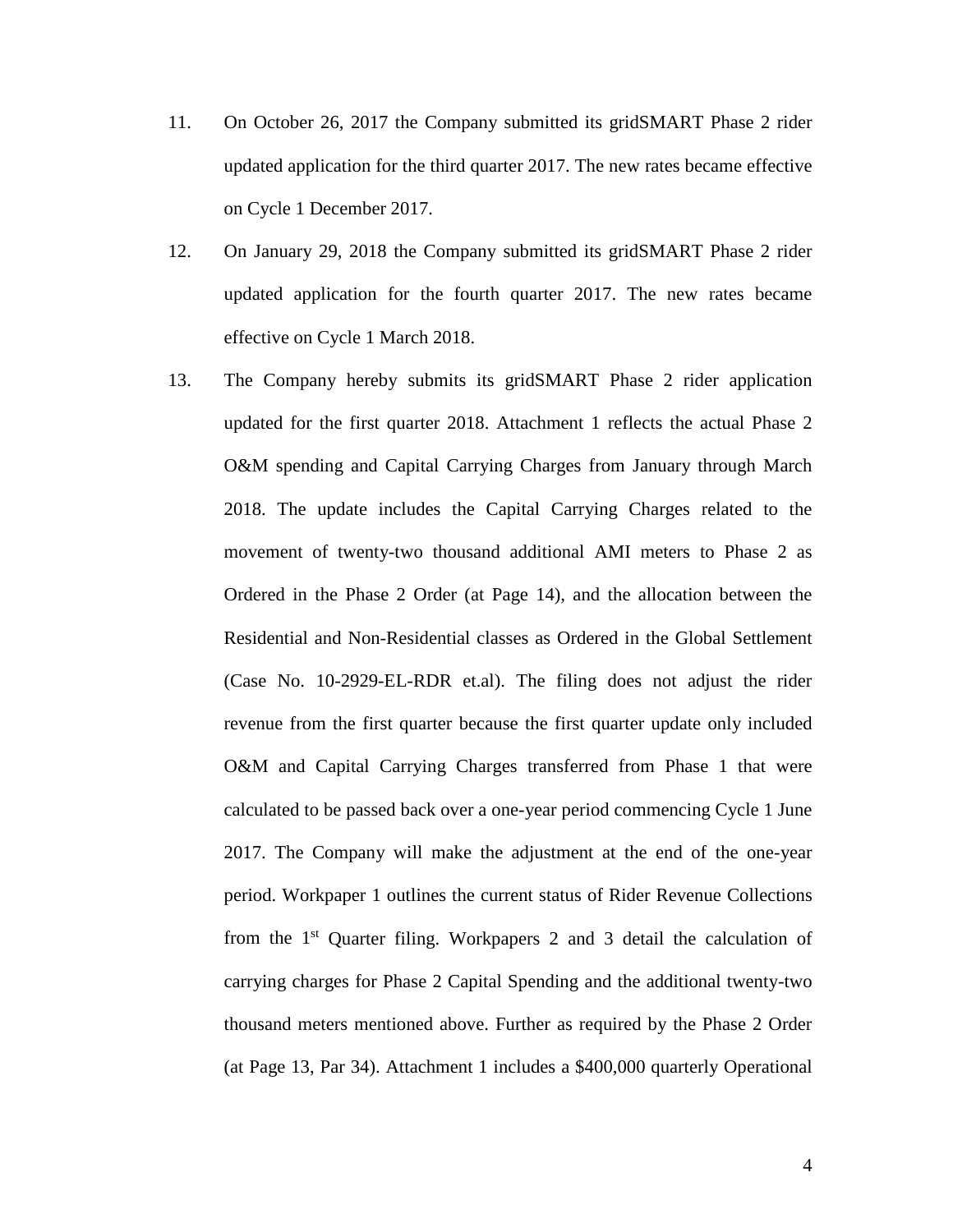- 11. On October 26, 2017 the Company submitted its gridSMART Phase 2 rider updated application for the third quarter 2017. The new rates became effective on Cycle 1 December 2017.
- 12. On January 29, 2018 the Company submitted its gridSMART Phase 2 rider updated application for the fourth quarter 2017. The new rates became effective on Cycle 1 March 2018.
- 13. The Company hereby submits its gridSMART Phase 2 rider application updated for the first quarter 2018. Attachment 1 reflects the actual Phase 2 O&M spending and Capital Carrying Charges from January through March 2018. The update includes the Capital Carrying Charges related to the movement of twenty-two thousand additional AMI meters to Phase 2 as Ordered in the Phase 2 Order (at Page 14), and the allocation between the Residential and Non-Residential classes as Ordered in the Global Settlement (Case No. 10-2929-EL-RDR et.al). The filing does not adjust the rider revenue from the first quarter because the first quarter update only included O&M and Capital Carrying Charges transferred from Phase 1 that were calculated to be passed back over a one-year period commencing Cycle 1 June 2017. The Company will make the adjustment at the end of the one-year period. Workpaper 1 outlines the current status of Rider Revenue Collections from the 1st Quarter filing. Workpapers 2 and 3 detail the calculation of carrying charges for Phase 2 Capital Spending and the additional twenty-two thousand meters mentioned above. Further as required by the Phase 2 Order (at Page 13, Par 34). Attachment 1 includes a \$400,000 quarterly Operational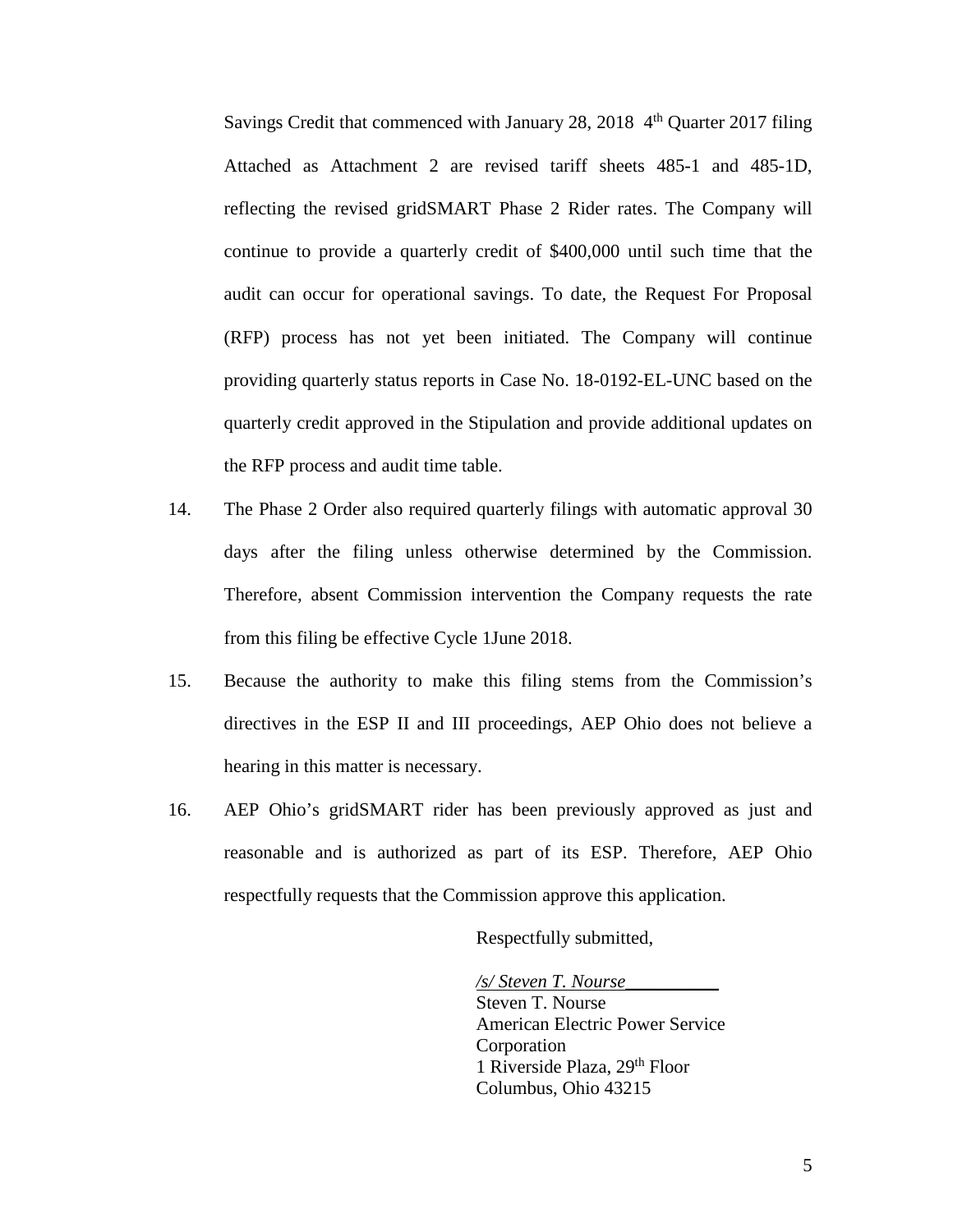Savings Credit that commenced with January 28, 2018  $4<sup>th</sup>$  Quarter 2017 filing Attached as Attachment 2 are revised tariff sheets 485-1 and 485-1D, reflecting the revised gridSMART Phase 2 Rider rates. The Company will continue to provide a quarterly credit of \$400,000 until such time that the audit can occur for operational savings. To date, the Request For Proposal (RFP) process has not yet been initiated. The Company will continue providing quarterly status reports in Case No. 18-0192-EL-UNC based on the quarterly credit approved in the Stipulation and provide additional updates on the RFP process and audit time table.

- 14. The Phase 2 Order also required quarterly filings with automatic approval 30 days after the filing unless otherwise determined by the Commission. Therefore, absent Commission intervention the Company requests the rate from this filing be effective Cycle 1June 2018.
- 15. Because the authority to make this filing stems from the Commission's directives in the ESP II and III proceedings, AEP Ohio does not believe a hearing in this matter is necessary.
- 16. AEP Ohio's gridSMART rider has been previously approved as just and reasonable and is authorized as part of its ESP. Therefore, AEP Ohio respectfully requests that the Commission approve this application.

Respectfully submitted,

*/s/ Steven T. Nourse\_\_\_\_\_\_\_\_\_\_*

Steven T. Nourse American Electric Power Service Corporation 1 Riverside Plaza, 29th Floor Columbus, Ohio 43215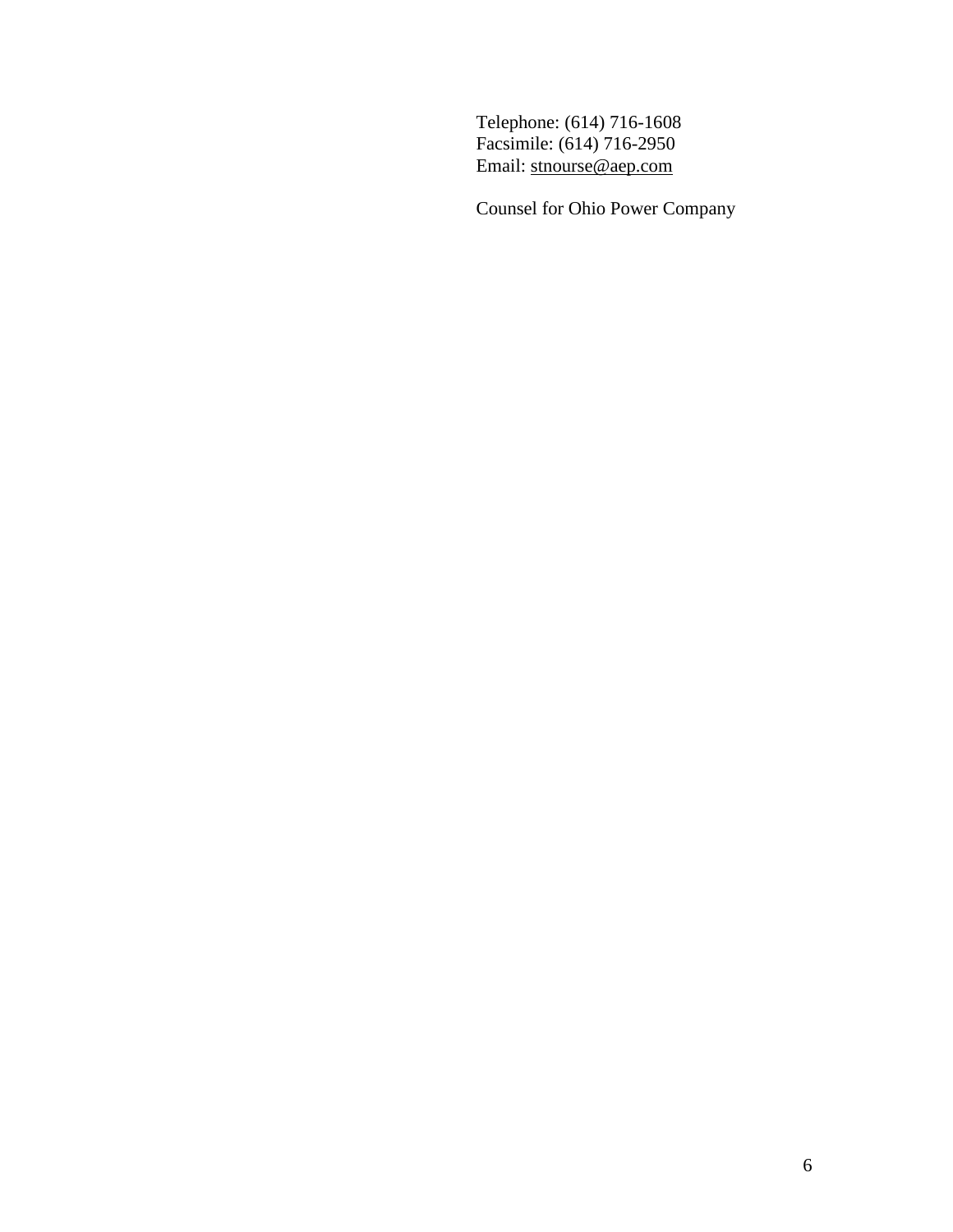Telephone: (614) 716-1608 Facsimile: (614) 716-2950 Email: [stnourse@aep.com](mailto:stnourse@aep.com)

Counsel for Ohio Power Company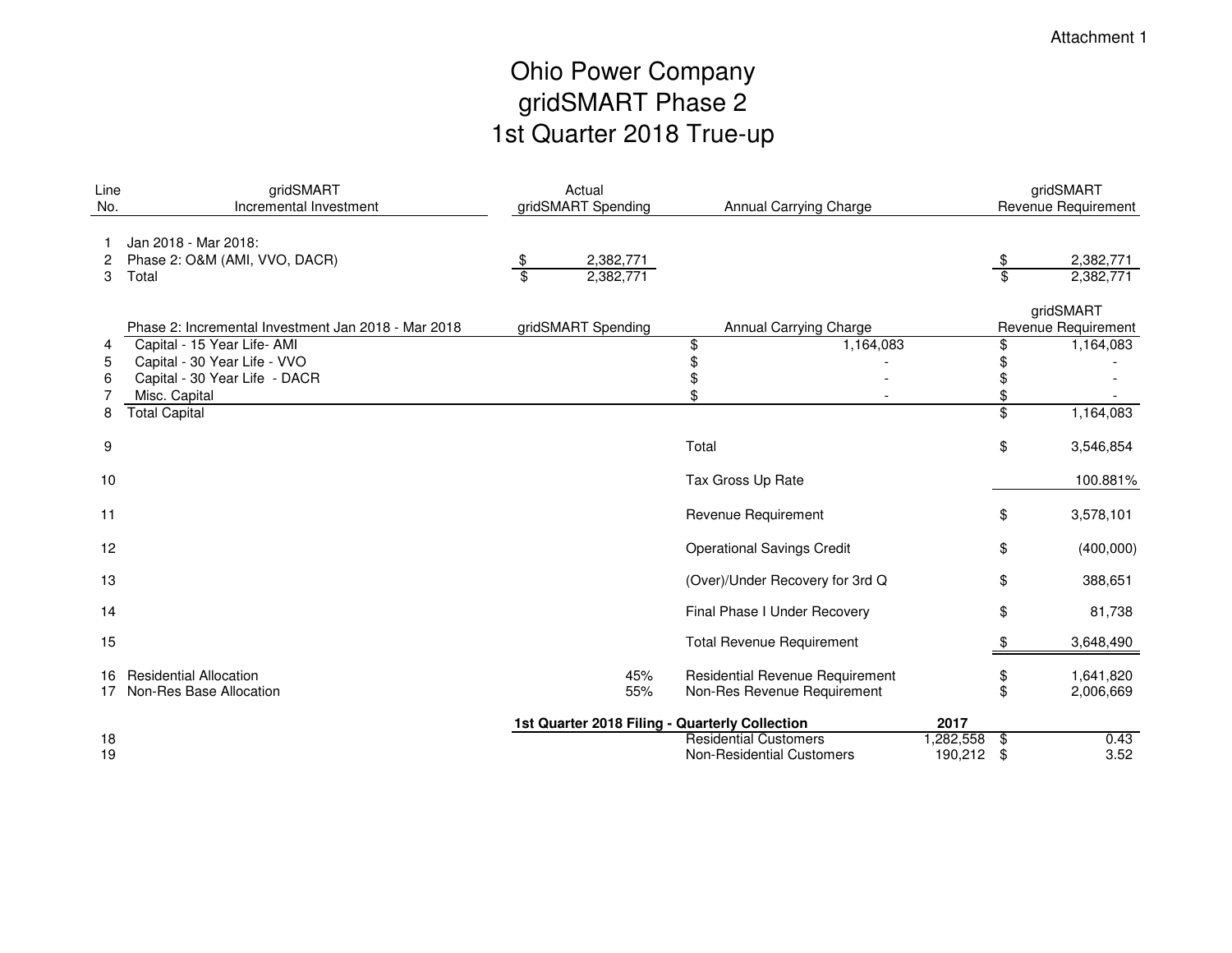# Ohio Power Company gridSMART Phase 21st Quarter 2018 True-up

| Line<br>No. | gridSMART<br>Incremental Investment                                                                           |                       | Actual<br>gridSMART Spending                   |                                                                  | Annual Carrying Charge                                         |                      | gridSMART<br>Revenue Requirement         |                                  |  |
|-------------|---------------------------------------------------------------------------------------------------------------|-----------------------|------------------------------------------------|------------------------------------------------------------------|----------------------------------------------------------------|----------------------|------------------------------------------|----------------------------------|--|
| 2<br>3      | Jan 2018 - Mar 2018:<br>Phase 2: O&M (AMI, VVO, DACR)<br>Total                                                | \$<br>$\overline{\$}$ | 2,382,771<br>2,382,771                         |                                                                  |                                                                |                      | $\frac{\$}{}$<br>$\overline{\mathbf{s}}$ | 2,382,771<br>2,382,771           |  |
|             | Phase 2: Incremental Investment Jan 2018 - Mar 2018                                                           |                       | gridSMART Spending                             |                                                                  | Annual Carrying Charge                                         |                      |                                          | gridSMART<br>Revenue Requirement |  |
| 4<br>5<br>6 | Capital - 15 Year Life- AMI<br>Capital - 30 Year Life - VVO<br>Capital - 30 Year Life - DACR<br>Misc. Capital |                       |                                                | \$<br>\$<br>\$                                                   | 1,164,083                                                      |                      | \$<br>\$<br>\$                           | 1,164,083                        |  |
| 8           | <b>Total Capital</b>                                                                                          |                       |                                                |                                                                  |                                                                |                      | \$                                       | 1,164,083                        |  |
| 9           |                                                                                                               |                       |                                                | Total                                                            |                                                                |                      | \$                                       | 3,546,854                        |  |
| 10          |                                                                                                               |                       |                                                | Tax Gross Up Rate                                                |                                                                |                      |                                          | 100.881%                         |  |
| 11          |                                                                                                               |                       |                                                | Revenue Requirement                                              |                                                                |                      | \$                                       | 3,578,101                        |  |
| 12          |                                                                                                               |                       |                                                | <b>Operational Savings Credit</b>                                |                                                                |                      | \$                                       | (400,000)                        |  |
| 13          |                                                                                                               |                       |                                                |                                                                  | (Over)/Under Recovery for 3rd Q                                |                      | \$                                       | 388,651                          |  |
| 14          |                                                                                                               |                       |                                                | Final Phase I Under Recovery                                     |                                                                |                      | \$                                       | 81,738                           |  |
| 15          |                                                                                                               |                       |                                                | <b>Total Revenue Requirement</b>                                 |                                                                |                      | \$                                       | 3,648,490                        |  |
| 16<br>17    | <b>Residential Allocation</b><br>Non-Res Base Allocation                                                      |                       | 45%<br>55%                                     |                                                                  | Residential Revenue Requirement<br>Non-Res Revenue Requirement |                      | \$<br>\$                                 | 1,641,820<br>2,006,669           |  |
|             |                                                                                                               |                       | 1st Quarter 2018 Filing - Quarterly Collection |                                                                  |                                                                | 2017                 |                                          |                                  |  |
| 18<br>19    |                                                                                                               |                       |                                                | <b>Residential Customers</b><br><b>Non-Residential Customers</b> |                                                                | 1,282,558<br>190,212 | \$<br>\$                                 | 0.43<br>3.52                     |  |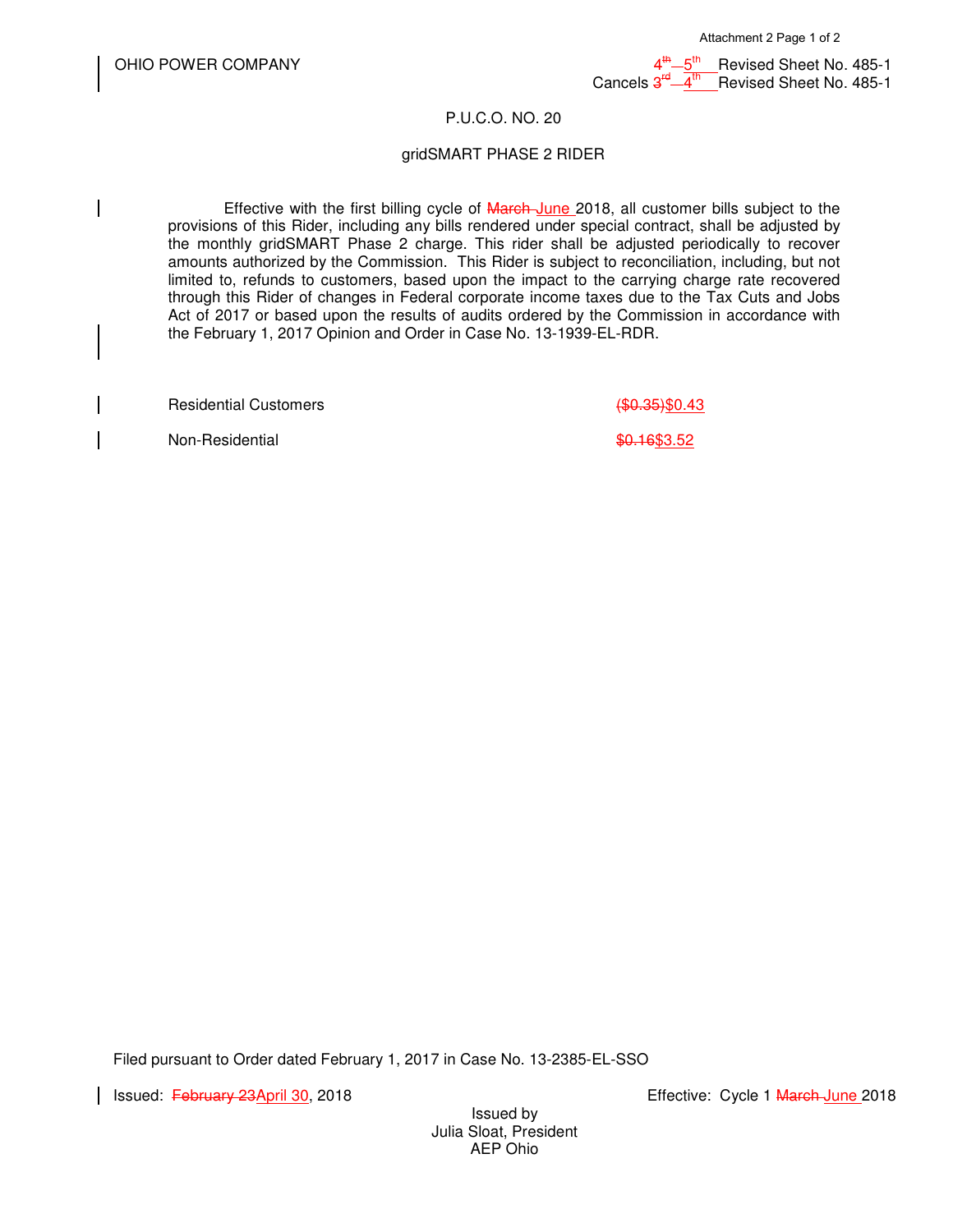$\mathsf{t}$ th Revised Sheet No. 485-1 Cancels 3  $\frac{4}{4}$ <sup>th</sup> Revised Sheet No. 485-1

#### P.U.C.O. NO. 20

#### gridSMART PHASE 2 RIDER

Effective with the first billing cycle of March-June 2018, all customer bills subject to the provisions of this Rider, including any bills rendered under special contract, shall be adjusted by the monthly gridSMART Phase 2 charge. This rider shall be adjusted periodically to recover amounts authorized by the Commission. This Rider is subject to reconciliation, including, but not limited to, refunds to customers, based upon the impact to the carrying charge rate recovered through this Rider of changes in Federal corporate income taxes due to the Tax Cuts and Jobs Act of 2017 or based upon the results of audits ordered by the Commission in accordance with the February 1, 2017 Opinion and Order in Case No. 13-1939-EL-RDR.

Residential Customers (\$0.35)\$0.43

Non-Residential \$0.16\$3.52

Filed pursuant to Order dated February 1, 2017 in Case No. 13-2385-EL-SSO

Issued: <del>February 23April 30</del>, 2018 **Exercía Eliterature: Cycle 1 March June** 2018

Issued by Julia Sloat, President AEP Ohio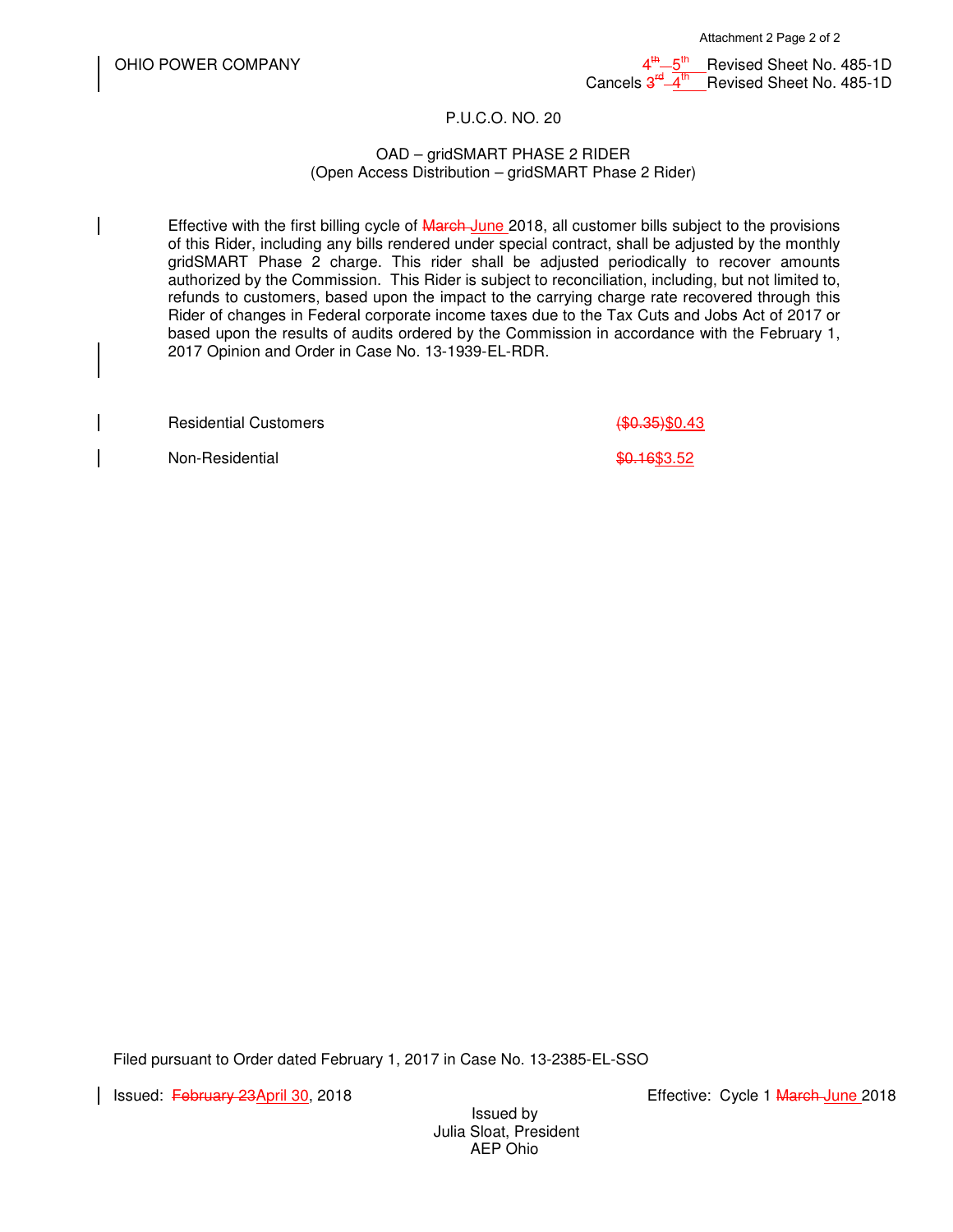$\frac{th}{10}$  5<sup>th</sup> Revised Sheet No. 485-1D Cancels 3  $\frac{r}{4}$ th Revised Sheet No. 485-1D

#### P.U.C.O. NO. 20

#### OAD – gridSMART PHASE 2 RIDER (Open Access Distribution – gridSMART Phase 2 Rider)

Effective with the first billing cycle of March June 2018, all customer bills subject to the provisions of this Rider, including any bills rendered under special contract, shall be adjusted by the monthly gridSMART Phase 2 charge. This rider shall be adjusted periodically to recover amounts authorized by the Commission. This Rider is subject to reconciliation, including, but not limited to, refunds to customers, based upon the impact to the carrying charge rate recovered through this Rider of changes in Federal corporate income taxes due to the Tax Cuts and Jobs Act of 2017 or based upon the results of audits ordered by the Commission in accordance with the February 1, 2017 Opinion and Order in Case No. 13-1939-EL-RDR.

Residential Customers (\$0.35)\$0.43

Non-Residential  $\text{\$0.16\$3.52}$ 

Filed pursuant to Order dated February 1, 2017 in Case No. 13-2385-EL-SSO

Issued: February 23April 30, 2018 **Exercía Eliterature: Cycle 1 March June** 2018

Issued by Julia Sloat, President AEP Ohio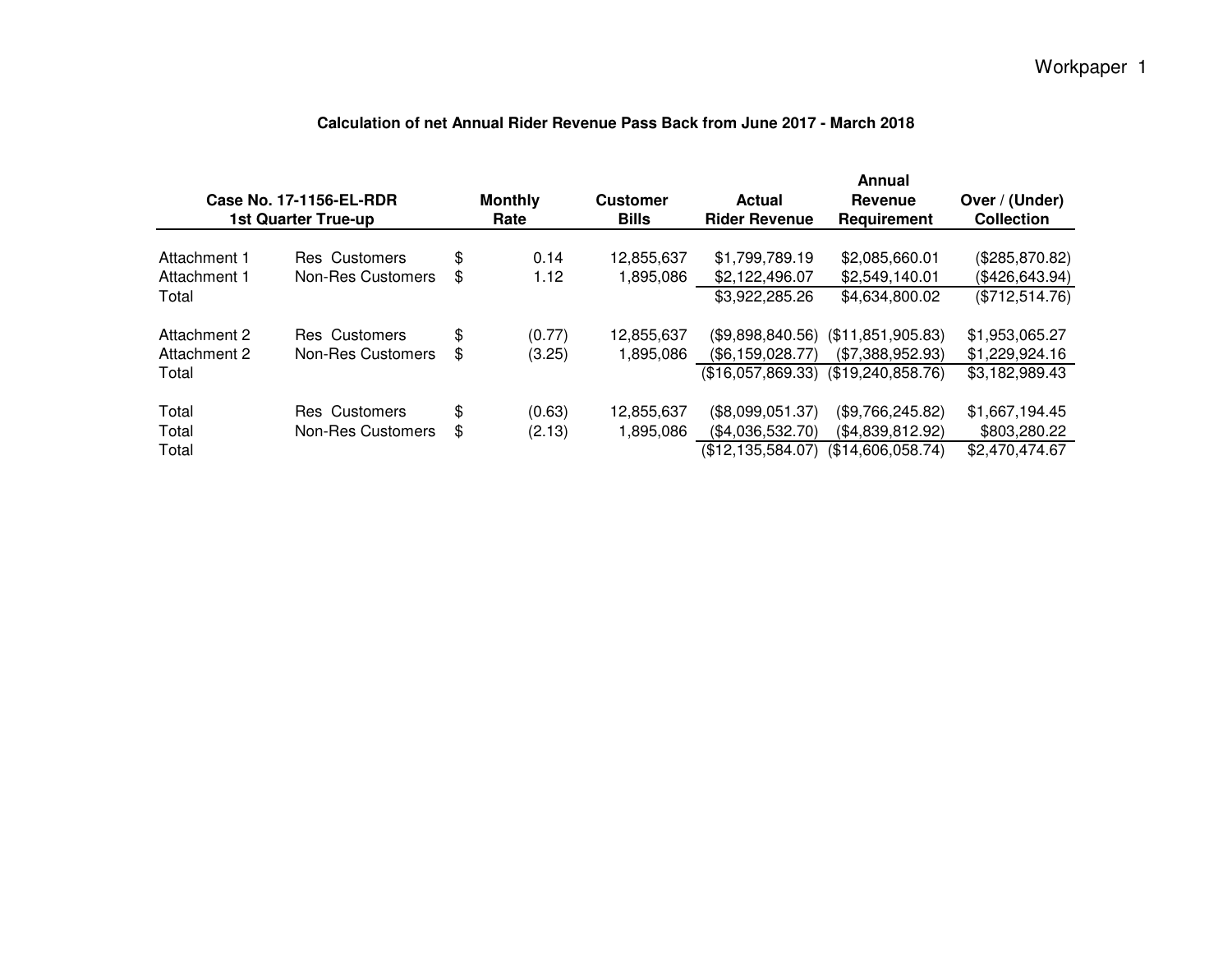# **Calculation of net Annual Rider Revenue Pass Back from June 2017 - March 2018**

Workpaper 1

| Case No. 17-1156-EL-RDR<br>1st Quarter True-up |                                    |          | <b>Monthly</b><br>Rate | <b>Customer</b><br><b>Bills</b> | Actual<br><b>Rider Revenue</b>                              | Annual<br>Revenue<br>Requirement                           | Over / (Under)<br><b>Collection</b>                |
|------------------------------------------------|------------------------------------|----------|------------------------|---------------------------------|-------------------------------------------------------------|------------------------------------------------------------|----------------------------------------------------|
| Attachment 1<br>Attachment 1<br>Total          | Res Customers<br>Non-Res Customers | \$<br>\$ | 0.14<br>1.12           | 12,855,637<br>1,895,086         | \$1,799,789.19<br>\$2,122,496.07<br>\$3,922,285.26          | \$2,085,660.01<br>\$2,549,140.01<br>\$4,634,800.02         | (\$285,870.82)<br>(\$426,643.94)<br>(\$712,514.76) |
| Attachment 2<br>Attachment 2<br>Total          | Res Customers<br>Non-Res Customers | \$<br>\$ | (0.77)<br>(3.25)       | 12,855,637<br>1,895,086         | (\$9,898,840.56)<br>(\$6,159,028.77)<br>(\$16.057.869.33)   | (\$11,851,905.83)<br>(\$7,388,952.93)<br>(\$19,240,858.76) | \$1,953,065.27<br>\$1,229,924.16<br>\$3,182,989.43 |
| Total<br>Total<br>Total                        | Res Customers<br>Non-Res Customers | \$<br>\$ | (0.63)<br>(2.13)       | 12,855,637<br>1,895,086         | (\$8,099,051.37)<br>(\$4,036,532.70)<br>(\$12, 135, 584.07) | (\$9,766,245.82)<br>(\$4,839,812.92)<br>(\$14,606,058.74)  | \$1,667,194.45<br>\$803,280.22<br>\$2,470,474.67   |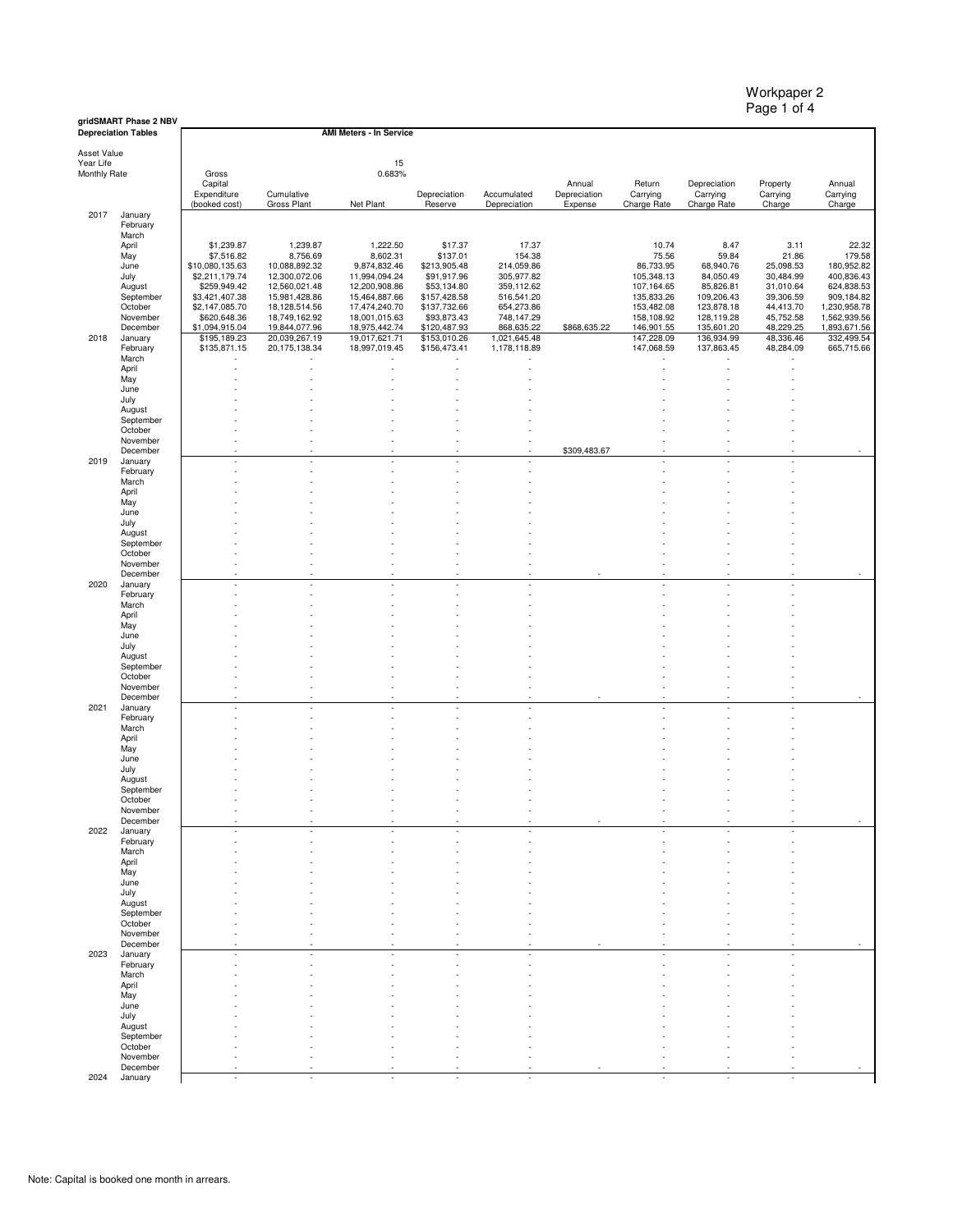Workpaper 2 Page 1 of 4

|                          | gridSMART Phase 2 NBV<br><b>Depreciation Tables</b> |                                |                                  | <b>AMI Meters - In Service</b> |                              |                              |                        |                          |                          |                        |                              |
|--------------------------|-----------------------------------------------------|--------------------------------|----------------------------------|--------------------------------|------------------------------|------------------------------|------------------------|--------------------------|--------------------------|------------------------|------------------------------|
| Asset Value<br>Year Life |                                                     |                                |                                  | 15                             |                              |                              |                        |                          |                          |                        |                              |
| Monthly Rate             |                                                     | Gross                          |                                  | 0.683%                         |                              |                              |                        |                          |                          |                        |                              |
|                          |                                                     | Capital<br>Expenditure         | Cumulative                       |                                | Depreciation                 | Accumulated                  | Annual<br>Depreciation | Return<br>Carrying       | Depreciation<br>Carrying | Property<br>Carrying   | Annual<br>Carrying           |
| 2017                     | January                                             | (booked cost)                  | Gross Plant                      | Net Plant                      | Reserve                      | Depreciation                 | Expense                | Charge Rate              | Charge Rate              | Charge                 | Charge                       |
|                          | February<br>March                                   |                                |                                  |                                |                              |                              |                        |                          |                          |                        |                              |
|                          | April                                               | \$1,239.87                     | 1,239.87                         | 1,222.50                       | \$17.37                      | 17.37                        |                        | 10.74                    | 8.47                     | 3.11                   | 22.32                        |
|                          | May<br>June                                         | \$7,516.82<br>\$10,080,135.63  | 8,756.69<br>10,088,892.32        | 8,602.31<br>9,874,832.46       | \$137.01<br>\$213,905.48     | 154.38<br>214,059.86         |                        | 75.56<br>86,733.95       | 59.84<br>68,940.76       | 21.86<br>25,098.53     | 179.58<br>180,952.82         |
|                          | July<br>August                                      | \$2,211,179.74<br>\$259,949.42 | 12,300,072.06<br>12,560,021.48   | 11,994,094.24<br>12,200,908.86 | \$91,917.96<br>\$53,134.80   | 305,977.82<br>359,112.62     |                        | 105,348.13<br>107,164.65 | 84,050.49<br>85,826.81   | 30,484.99<br>31,010.64 | 400,836.43<br>624,838.53     |
|                          | September                                           | \$3,421,407.38                 | 15,981,428.86                    | 15,464,887.66                  | \$157,428.58                 | 516,541.20                   |                        | 135,833.26               | 109,206.43               | 39,306.59              | 909,184.82                   |
|                          | October<br>November                                 | \$2,147,085.70<br>\$620,648.36 | 18,128,514.56<br>18,749,162.92   | 17,474,240.70<br>18,001,015.63 | \$137,732.66<br>\$93,873.43  | 654,273.86<br>748,147.29     |                        | 153,482.08<br>158,108.92 | 123,878.18<br>128,119.28 | 44,413.70<br>45,752.58 | 1,230,958.78<br>1,562,939.56 |
|                          | December                                            | \$1,094,915.04                 | 19,844,077.96                    | 18,975,442.74                  | \$120,487.93                 | 868,635.22                   | \$868,635.22           | 146,901.55               | 135,601.20               | 48,229.25              | 1,893,671.56                 |
| 2018                     | January<br>February                                 | \$195,189.23<br>\$135,871.15   | 20,039,267.19<br>20, 175, 138.34 | 19,017,621.71<br>18,997,019.45 | \$153,010.26<br>\$156,473.41 | 1,021,645.48<br>1,178,118.89 |                        | 147,228.09<br>147,068.59 | 136,934.99<br>137,863.45 | 48,336.46<br>48,284.09 | 332,499.54<br>665,715.66     |
|                          | March<br>April                                      |                                |                                  |                                |                              |                              |                        |                          |                          |                        |                              |
|                          | May                                                 |                                |                                  |                                |                              |                              |                        |                          |                          |                        |                              |
|                          | June<br>July                                        |                                |                                  |                                |                              |                              |                        |                          |                          |                        |                              |
|                          | August                                              |                                |                                  |                                |                              |                              |                        |                          |                          |                        |                              |
|                          | September<br>October                                |                                |                                  |                                |                              |                              |                        |                          |                          |                        |                              |
|                          | November<br>December                                |                                |                                  |                                |                              |                              | \$309,483.67           |                          |                          |                        | $\sim$                       |
| 2019                     | January                                             |                                |                                  |                                |                              |                              |                        |                          |                          |                        |                              |
|                          | February<br>March                                   |                                |                                  |                                |                              |                              |                        |                          |                          |                        |                              |
|                          | April                                               |                                |                                  |                                |                              |                              |                        |                          |                          |                        |                              |
|                          | May<br>June                                         |                                |                                  |                                |                              |                              |                        |                          |                          |                        |                              |
|                          | July                                                |                                |                                  |                                |                              |                              |                        |                          |                          |                        |                              |
|                          | August<br>September                                 |                                |                                  |                                |                              |                              |                        |                          |                          |                        |                              |
|                          | October<br>November                                 |                                |                                  |                                |                              |                              |                        |                          |                          |                        |                              |
|                          | December                                            |                                |                                  |                                |                              |                              |                        |                          |                          |                        |                              |
| 2020                     | January<br>February                                 |                                |                                  |                                |                              |                              |                        |                          |                          |                        |                              |
|                          | March                                               |                                |                                  |                                |                              |                              |                        |                          |                          |                        |                              |
|                          | April<br>May                                        |                                |                                  |                                |                              |                              |                        |                          |                          |                        |                              |
|                          | June<br>July                                        |                                |                                  |                                |                              |                              |                        |                          |                          |                        |                              |
|                          | August                                              |                                |                                  |                                |                              |                              |                        |                          |                          |                        |                              |
|                          | September<br>October                                |                                |                                  |                                |                              |                              |                        |                          |                          |                        |                              |
|                          | November                                            | ×                              |                                  |                                |                              |                              |                        |                          |                          |                        |                              |
| 2021                     | December<br>January                                 | ×                              | ÷.                               |                                |                              |                              |                        |                          |                          |                        |                              |
|                          | February<br>March                                   |                                |                                  |                                |                              |                              |                        |                          |                          |                        |                              |
|                          | April                                               |                                |                                  |                                |                              |                              |                        |                          |                          |                        |                              |
|                          | May<br>June                                         |                                |                                  |                                |                              |                              |                        |                          |                          |                        |                              |
|                          | July                                                |                                |                                  |                                |                              |                              |                        |                          |                          |                        |                              |
|                          | August<br>September                                 |                                |                                  |                                |                              |                              |                        |                          |                          |                        |                              |
|                          | October<br>November                                 |                                |                                  |                                |                              |                              |                        |                          |                          |                        |                              |
|                          | December                                            |                                |                                  |                                |                              |                              |                        |                          |                          |                        |                              |
| 2022                     | January<br>February                                 |                                |                                  |                                |                              |                              |                        |                          |                          |                        |                              |
|                          | March<br>April                                      |                                |                                  |                                |                              |                              |                        |                          |                          |                        |                              |
|                          | May                                                 |                                |                                  |                                |                              |                              |                        |                          |                          |                        |                              |
|                          | June<br>July                                        |                                |                                  |                                |                              |                              |                        |                          |                          |                        |                              |
|                          | August                                              |                                |                                  |                                |                              |                              |                        |                          |                          |                        |                              |
|                          | September<br>October                                |                                |                                  |                                |                              |                              |                        |                          |                          |                        |                              |
|                          | November<br>December                                |                                |                                  |                                |                              |                              |                        |                          |                          |                        |                              |
| 2023                     | January                                             |                                |                                  |                                |                              |                              |                        |                          |                          |                        |                              |
|                          | February<br>March                                   |                                |                                  |                                |                              |                              |                        |                          |                          |                        |                              |
|                          | April                                               |                                |                                  |                                |                              |                              |                        |                          |                          |                        |                              |
|                          | May<br>June                                         |                                |                                  |                                |                              |                              |                        |                          |                          |                        |                              |
|                          | July                                                |                                |                                  |                                |                              |                              |                        |                          |                          |                        |                              |
|                          | August<br>September                                 |                                |                                  |                                |                              |                              |                        |                          |                          |                        |                              |
|                          | October<br>November                                 |                                |                                  |                                |                              |                              |                        |                          |                          |                        |                              |
|                          | December                                            |                                |                                  |                                |                              |                              |                        |                          |                          |                        |                              |
| 2024                     | January                                             |                                |                                  |                                |                              |                              |                        |                          |                          |                        |                              |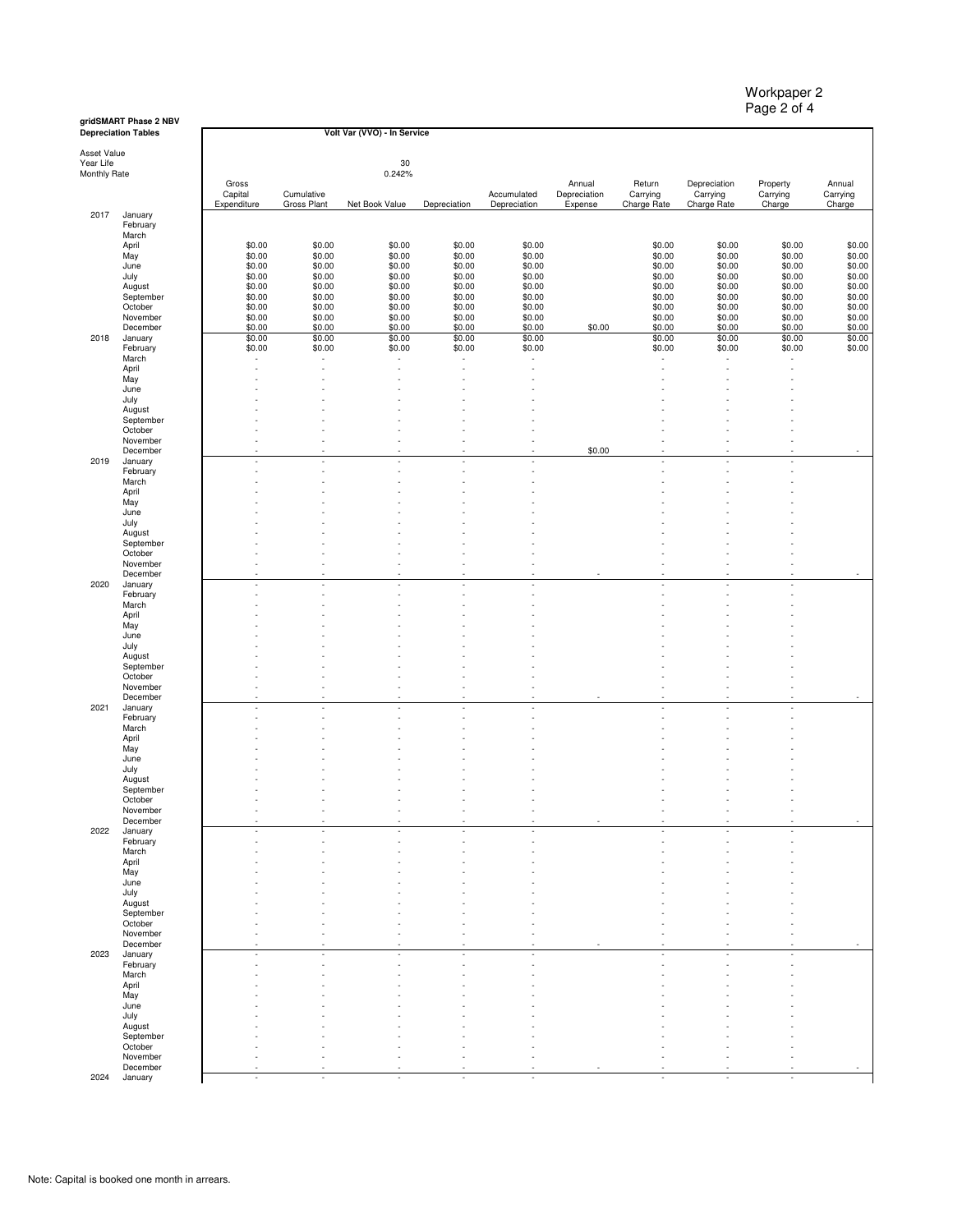Workpaper 2 Page 2 of 4

#### **gridSMART Phase 2 NBV**

|              | <b>Depreciation Tables</b> |                  |                  | Volt Var (VVO) - In Service |                  |                  |                          |                  |                  |                  |                  |
|--------------|----------------------------|------------------|------------------|-----------------------------|------------------|------------------|--------------------------|------------------|------------------|------------------|------------------|
| Asset Value  |                            |                  |                  |                             |                  |                  |                          |                  |                  |                  |                  |
| Year Life    |                            |                  |                  | 30                          |                  |                  |                          |                  |                  |                  |                  |
| Monthly Rate |                            |                  |                  | 0.242%                      |                  |                  |                          |                  |                  |                  |                  |
|              |                            | Gross            |                  |                             |                  |                  | Annual                   | Return           | Depreciation     | Property         | Annual           |
|              |                            | Capital          | Cumulative       |                             |                  | Accumulated      | Depreciation             | Carrying         | Carrying         | Carrying         | Carrying         |
| 2017         |                            | Expenditure      | Gross Plant      | Net Book Value              | Depreciation     | Depreciation     | Expense                  | Charge Rate      | Charge Rate      | Charge           | Charge           |
|              | January<br>February        |                  |                  |                             |                  |                  |                          |                  |                  |                  |                  |
|              | March                      |                  |                  |                             |                  |                  |                          |                  |                  |                  |                  |
|              | April                      | \$0.00           | \$0.00           | \$0.00                      | \$0.00           | \$0.00           |                          | \$0.00           | \$0.00           | \$0.00           | \$0.00           |
|              | May                        | \$0.00           | \$0.00           | \$0.00                      | \$0.00           | \$0.00           |                          | \$0.00           | \$0.00           | \$0.00           | \$0.00           |
|              | June                       | \$0.00           | \$0.00           | \$0.00                      | \$0.00           | \$0.00           |                          | \$0.00           | \$0.00           | \$0.00           | \$0.00           |
|              | July                       | \$0.00           | \$0.00           | \$0.00                      | \$0.00           | \$0.00           |                          | \$0.00           | \$0.00           | \$0.00           | \$0.00           |
|              | August                     | \$0.00           | \$0.00           | \$0.00                      | \$0.00           | \$0.00           |                          | \$0.00           | \$0.00           | \$0.00           | \$0.00           |
|              | September                  | \$0.00           | \$0.00           | \$0.00                      | \$0.00           | \$0.00           |                          | \$0.00           | \$0.00           | \$0.00           | \$0.00           |
|              | October                    | \$0.00           | \$0.00           | \$0.00                      | \$0.00           | \$0.00           |                          | \$0.00           | \$0.00           | \$0.00           | \$0.00           |
|              | November                   | \$0.00           | \$0.00<br>\$0.00 | \$0.00                      | \$0.00           | \$0.00<br>\$0.00 |                          | \$0.00<br>\$0.00 | \$0.00<br>\$0.00 | \$0.00           | \$0.00           |
| 2018         | December<br>January        | \$0.00<br>\$0.00 | \$0.00           | \$0.00<br>\$0.00            | \$0.00<br>\$0.00 | \$0.00           | \$0.00                   | \$0.00           | \$0.00           | \$0.00<br>\$0.00 | \$0.00<br>\$0.00 |
|              | February                   | \$0.00           | \$0.00           | \$0.00                      | \$0.00           | \$0.00           |                          | \$0.00           | \$0.00           | \$0.00           | \$0.00           |
|              | March                      |                  |                  |                             |                  |                  |                          |                  | ٠                |                  |                  |
|              | April                      |                  |                  |                             |                  |                  |                          |                  |                  |                  |                  |
|              | May                        |                  |                  |                             |                  |                  |                          |                  |                  |                  |                  |
|              | June                       |                  |                  |                             |                  |                  |                          |                  |                  |                  |                  |
|              | July                       |                  |                  |                             |                  |                  |                          |                  |                  |                  |                  |
|              | August                     |                  |                  |                             |                  |                  |                          |                  |                  |                  |                  |
|              | September                  |                  |                  |                             |                  |                  |                          |                  |                  |                  |                  |
|              | October                    |                  |                  |                             |                  |                  |                          |                  |                  |                  |                  |
|              | November                   |                  | ×                | ×                           |                  |                  |                          |                  |                  |                  |                  |
| 2019         | December<br>January        |                  | ٠                | ×                           |                  |                  | \$0.00                   | ä,               |                  |                  |                  |
|              | February                   |                  |                  |                             |                  |                  |                          |                  |                  |                  |                  |
|              | March                      |                  |                  |                             |                  |                  |                          |                  |                  |                  |                  |
|              | April                      |                  |                  |                             |                  |                  |                          |                  |                  |                  |                  |
|              | May                        |                  |                  |                             |                  |                  |                          |                  |                  |                  |                  |
|              | June                       |                  |                  |                             |                  |                  |                          |                  |                  |                  |                  |
|              | July                       |                  |                  |                             |                  |                  |                          |                  |                  |                  |                  |
|              | August                     |                  |                  |                             |                  |                  |                          |                  |                  |                  |                  |
|              | September                  |                  |                  |                             |                  |                  |                          |                  |                  |                  |                  |
|              | October                    |                  |                  |                             |                  |                  |                          |                  |                  |                  |                  |
|              | November                   |                  |                  |                             |                  |                  |                          |                  |                  |                  |                  |
|              | December                   | $\sim$           |                  | ×<br>×,                     |                  |                  | $\overline{\phantom{a}}$ | ×,               | ×                |                  |                  |
| 2020         | January<br>February        |                  | ٠                | ×                           |                  |                  |                          |                  |                  |                  |                  |
|              | March                      |                  |                  |                             |                  |                  |                          |                  |                  |                  |                  |
|              | April                      |                  |                  |                             |                  |                  |                          |                  |                  |                  |                  |
|              | May                        |                  |                  |                             |                  |                  |                          |                  |                  |                  |                  |
|              | June                       |                  |                  |                             |                  |                  |                          |                  |                  |                  |                  |
|              | July                       |                  |                  |                             |                  |                  |                          |                  |                  |                  |                  |
|              | August                     |                  |                  |                             |                  |                  |                          |                  |                  |                  |                  |
|              | September                  |                  |                  |                             |                  |                  |                          |                  |                  |                  |                  |
|              | October                    |                  |                  |                             |                  |                  |                          |                  |                  |                  |                  |
|              | November                   |                  |                  |                             |                  |                  |                          |                  |                  |                  |                  |
|              | December                   |                  |                  |                             |                  |                  |                          |                  |                  |                  |                  |
| 2021         | January<br>February        |                  |                  |                             |                  |                  |                          |                  |                  |                  |                  |
|              | March                      |                  |                  |                             |                  |                  |                          |                  |                  |                  |                  |
|              | April                      |                  |                  |                             |                  |                  |                          |                  |                  |                  |                  |
|              | May                        |                  |                  |                             |                  |                  |                          |                  |                  |                  |                  |
|              | June                       |                  |                  |                             |                  |                  |                          |                  |                  |                  |                  |
|              | July                       |                  |                  |                             |                  |                  |                          |                  |                  |                  |                  |
|              | August                     |                  |                  |                             |                  |                  |                          |                  |                  |                  |                  |
|              | September                  |                  |                  |                             |                  |                  |                          |                  |                  |                  |                  |
|              | October                    |                  |                  |                             |                  |                  |                          |                  |                  |                  |                  |
|              | November                   |                  |                  |                             |                  |                  |                          |                  |                  |                  |                  |
|              | December                   |                  |                  |                             |                  |                  |                          |                  |                  |                  |                  |
| 2022         | January                    |                  |                  |                             |                  |                  |                          |                  |                  |                  |                  |
|              | February<br>March          |                  |                  |                             |                  |                  |                          |                  |                  |                  |                  |
|              | April                      |                  |                  |                             |                  |                  |                          |                  |                  |                  |                  |
|              | May                        |                  |                  |                             |                  |                  |                          |                  |                  |                  |                  |
|              | June                       |                  |                  |                             |                  |                  |                          |                  |                  |                  |                  |
|              | July                       |                  |                  |                             |                  |                  |                          |                  |                  |                  |                  |
|              | August                     |                  |                  |                             |                  |                  |                          |                  |                  |                  |                  |
|              | September                  |                  |                  |                             |                  |                  |                          |                  |                  |                  |                  |
|              | October                    |                  |                  |                             |                  |                  |                          |                  |                  |                  |                  |
|              | November                   |                  |                  |                             |                  |                  |                          |                  |                  |                  |                  |
|              | December                   |                  |                  |                             |                  |                  |                          |                  |                  |                  |                  |
| 2023         | January                    | $\sim$           | ×.               | $\sim$                      | ×.               |                  |                          | ×.               | ×                | ٠                |                  |
|              | February                   | ÷,               |                  | ä,                          |                  |                  |                          |                  |                  |                  |                  |
|              | March                      |                  |                  |                             |                  |                  |                          |                  |                  |                  |                  |
|              | April<br>May               |                  |                  |                             |                  |                  |                          |                  |                  |                  |                  |
|              | June                       |                  |                  |                             |                  |                  |                          |                  |                  |                  |                  |
|              | July                       |                  |                  |                             |                  |                  |                          |                  |                  |                  |                  |
|              | August                     |                  |                  |                             |                  |                  |                          |                  |                  |                  |                  |
|              | September                  |                  |                  |                             |                  |                  |                          |                  |                  |                  |                  |
|              | October                    |                  |                  |                             |                  |                  |                          |                  |                  |                  |                  |
|              | November                   |                  |                  |                             |                  |                  |                          |                  |                  |                  |                  |
|              | December                   |                  |                  |                             |                  |                  |                          |                  |                  |                  |                  |
| 2024         | January                    | $\sim$           | ٠                | ×.                          | $\sim$           |                  |                          | ٠                |                  | ٠                |                  |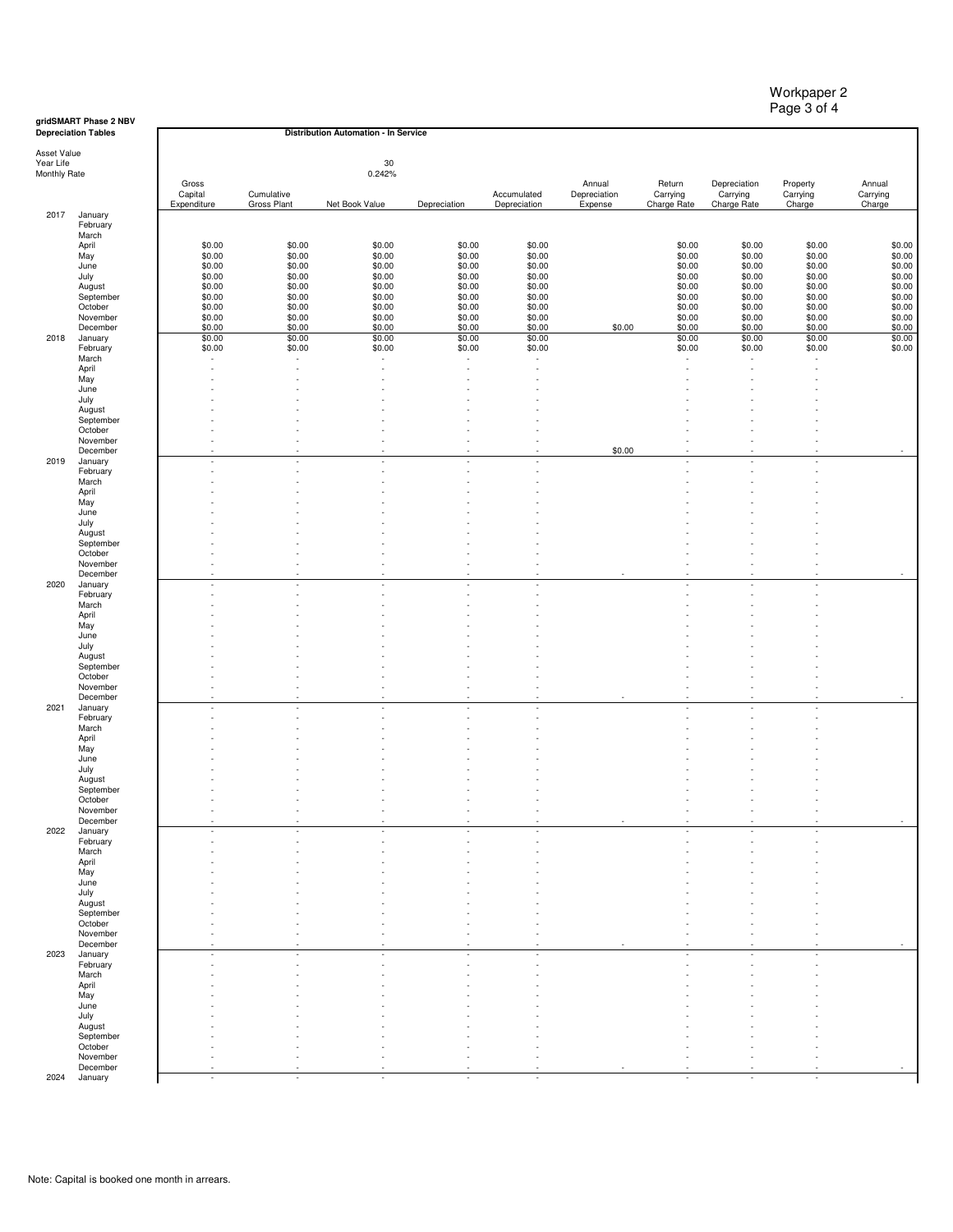| Workpaper 2 |  |
|-------------|--|
| Page 3 of 4 |  |

**gridSMART Phase 2 NBV Depreciation Tables**

|              | <b>Depreciation Tables</b> |                  |                          | Distribution Automation - In Service |                  |                          |              |                  |                  |                          |                  |
|--------------|----------------------------|------------------|--------------------------|--------------------------------------|------------------|--------------------------|--------------|------------------|------------------|--------------------------|------------------|
| Asset Value  |                            |                  |                          |                                      |                  |                          |              |                  |                  |                          |                  |
| Year Life    |                            |                  |                          | 30                                   |                  |                          |              |                  |                  |                          |                  |
| Monthly Rate |                            | Gross            |                          | 0.242%                               |                  |                          | Annual       | Return           | Depreciation     | Property                 | Annual           |
|              |                            | Capital          | Cumulative               |                                      |                  | Accumulated              | Depreciation | Carrying         | Carrying         | Carrying                 | Carrying         |
|              |                            | Expenditure      | Gross Plant              | Net Book Value                       | Depreciation     | Depreciation             | Expense      | Charge Rate      | Charge Rate      | Charge                   | Charge           |
| 2017         | January<br>February        |                  |                          |                                      |                  |                          |              |                  |                  |                          |                  |
|              | March                      |                  |                          |                                      |                  |                          |              |                  |                  |                          |                  |
|              | April                      | \$0.00           | \$0.00                   | \$0.00                               | \$0.00           | \$0.00                   |              | \$0.00           | \$0.00           | \$0.00                   | \$0.00           |
|              | May                        | \$0.00           | \$0.00                   | \$0.00                               | \$0.00           | \$0.00                   |              | \$0.00           | \$0.00           | \$0.00                   | \$0.00           |
|              | June                       | \$0.00<br>\$0.00 | \$0.00<br>\$0.00         | \$0.00<br>\$0.00                     | \$0.00<br>\$0.00 | \$0.00<br>\$0.00         |              | \$0.00<br>\$0.00 | \$0.00<br>\$0.00 | \$0.00<br>\$0.00         | \$0.00<br>\$0.00 |
|              | July<br>August             | \$0.00           | \$0.00                   | \$0.00                               | \$0.00           | \$0.00                   |              | \$0.00           | \$0.00           | \$0.00                   | \$0.00           |
|              | September                  | \$0.00           | \$0.00                   | \$0.00                               | \$0.00           | \$0.00                   |              | \$0.00           | \$0.00           | \$0.00                   | \$0.00           |
|              | October                    | \$0.00           | \$0.00                   | \$0.00                               | \$0.00           | \$0.00                   |              | \$0.00           | \$0.00           | \$0.00                   | \$0.00           |
|              | November                   | \$0.00           | \$0.00                   | \$0.00                               | \$0.00           | \$0.00                   |              | \$0.00           | \$0.00           | \$0.00                   | \$0.00           |
| 2018         | December<br>January        | \$0.00<br>\$0.00 | \$0.00<br>\$0.00         | \$0.00<br>\$0.00                     | \$0.00<br>\$0.00 | \$0.00<br>\$0.00         | \$0.00       | \$0.00<br>\$0.00 | \$0.00<br>\$0.00 | \$0.00<br>\$0.00         | \$0.00<br>\$0.00 |
|              | February                   | \$0.00           | \$0.00                   | \$0.00                               | \$0.00           | \$0.00                   |              | \$0.00           | \$0.00           | \$0.00                   | \$0.00           |
|              | March                      | ä,               |                          |                                      |                  |                          |              |                  |                  |                          |                  |
|              | April                      |                  |                          |                                      |                  |                          |              |                  |                  |                          |                  |
|              | May                        |                  |                          |                                      |                  |                          |              |                  |                  |                          |                  |
|              | June<br>July               |                  |                          |                                      |                  |                          |              |                  |                  |                          |                  |
|              | August                     |                  |                          |                                      |                  |                          |              |                  |                  |                          |                  |
|              | September                  |                  |                          |                                      |                  |                          |              |                  |                  |                          |                  |
|              | October                    |                  |                          |                                      |                  |                          |              |                  |                  |                          |                  |
|              | November<br>December       |                  | ٠<br>×                   | ä,<br>×,                             | ٠<br>÷           |                          | \$0.00       | ÷.               | ٠<br>×           |                          |                  |
| 2019         | January                    |                  |                          |                                      |                  |                          |              |                  |                  |                          |                  |
|              | February                   |                  |                          |                                      |                  |                          |              |                  |                  |                          |                  |
|              | March                      |                  |                          |                                      |                  |                          |              |                  |                  |                          |                  |
|              | April                      |                  |                          |                                      |                  |                          |              |                  |                  |                          |                  |
|              | May<br>June                |                  |                          |                                      |                  |                          |              |                  |                  |                          |                  |
|              | July                       |                  |                          |                                      |                  |                          |              |                  |                  |                          |                  |
|              | August                     |                  |                          |                                      |                  |                          |              |                  |                  |                          |                  |
|              | September                  |                  |                          |                                      |                  |                          |              |                  |                  |                          |                  |
|              | October                    |                  |                          |                                      |                  |                          |              |                  |                  |                          |                  |
|              | November<br>December       | ä,               | ٠                        | ٠                                    | ٠                |                          | ٠            | ٠                | ٠                |                          | ×.               |
| 2020         | January                    |                  | ×                        | i,                                   |                  |                          |              |                  |                  |                          |                  |
|              | February                   |                  | ٠                        | ä,                                   | ä,               |                          |              | ٠                | ×                |                          |                  |
|              | March                      |                  |                          |                                      |                  |                          |              |                  |                  |                          |                  |
|              | April<br>May               |                  |                          |                                      |                  |                          |              |                  |                  |                          |                  |
|              | June                       |                  |                          |                                      |                  |                          |              |                  |                  |                          |                  |
|              | July                       |                  |                          |                                      |                  |                          |              |                  |                  |                          |                  |
|              | August                     |                  |                          |                                      |                  |                          |              |                  |                  |                          |                  |
|              | September                  |                  |                          |                                      |                  |                          |              |                  |                  |                          |                  |
|              | October<br>November        |                  |                          |                                      |                  |                          |              | ä,               | Ĭ.               |                          |                  |
|              | December                   |                  |                          |                                      |                  |                          |              | ÷.               |                  |                          |                  |
| 2021         | January                    |                  | ٠                        | ×,                                   |                  |                          |              |                  |                  |                          |                  |
|              | February                   |                  |                          |                                      |                  |                          |              |                  |                  |                          |                  |
|              | March<br>April             |                  |                          |                                      |                  |                          |              |                  |                  |                          |                  |
|              | May                        |                  |                          |                                      |                  |                          |              |                  |                  |                          |                  |
|              | June                       |                  |                          |                                      |                  |                          |              |                  |                  |                          |                  |
|              | July                       |                  |                          |                                      |                  |                          |              |                  |                  |                          |                  |
|              | August                     |                  |                          |                                      |                  |                          |              |                  |                  |                          |                  |
|              | September<br>October       |                  |                          |                                      |                  |                          |              |                  |                  |                          |                  |
|              | November                   |                  |                          |                                      |                  |                          |              |                  |                  |                          |                  |
|              | December                   |                  |                          |                                      |                  |                          |              |                  |                  |                          |                  |
| 2022         | January                    |                  |                          |                                      |                  |                          |              |                  |                  |                          |                  |
|              | February<br>March          |                  |                          |                                      |                  |                          |              |                  |                  |                          |                  |
|              | April                      |                  |                          |                                      |                  |                          |              |                  |                  |                          |                  |
|              | May                        |                  |                          |                                      |                  |                          |              |                  |                  |                          |                  |
|              | June                       |                  |                          |                                      |                  |                          |              |                  |                  |                          |                  |
|              | July                       |                  |                          |                                      |                  |                          |              |                  |                  |                          |                  |
|              | August<br>September        |                  |                          |                                      |                  |                          |              |                  |                  |                          |                  |
|              | October                    |                  |                          |                                      |                  |                          |              |                  |                  |                          |                  |
|              | November                   |                  |                          |                                      |                  |                          |              |                  |                  |                          |                  |
|              | December                   |                  |                          |                                      |                  |                          |              |                  |                  |                          |                  |
| 2023         | January<br>February        | ×.               | $\overline{\phantom{a}}$ | $\overline{\phantom{a}}$             | ٠                | $\overline{a}$           |              | ÷.               | ×.               | ×.                       |                  |
|              | March                      |                  |                          |                                      |                  |                          |              |                  |                  |                          |                  |
|              | April                      |                  |                          |                                      |                  |                          |              |                  |                  |                          |                  |
|              | May                        |                  |                          |                                      |                  |                          |              |                  |                  |                          |                  |
|              | June                       |                  |                          |                                      |                  |                          |              |                  |                  |                          |                  |
|              | July<br>August             |                  |                          |                                      |                  |                          |              |                  |                  |                          |                  |
|              | September                  |                  |                          |                                      |                  |                          |              |                  |                  |                          |                  |
|              | October                    |                  |                          |                                      |                  |                          |              |                  |                  |                          |                  |
|              | November                   |                  |                          |                                      |                  |                          |              |                  |                  |                          |                  |
|              | December                   | $\sim$           | ×.                       | ×                                    | $\sim$           | $\overline{\phantom{a}}$ |              |                  | $\epsilon$       | $\overline{\phantom{a}}$ |                  |
| 2024         | January                    |                  |                          |                                      |                  |                          |              | ٠                |                  |                          |                  |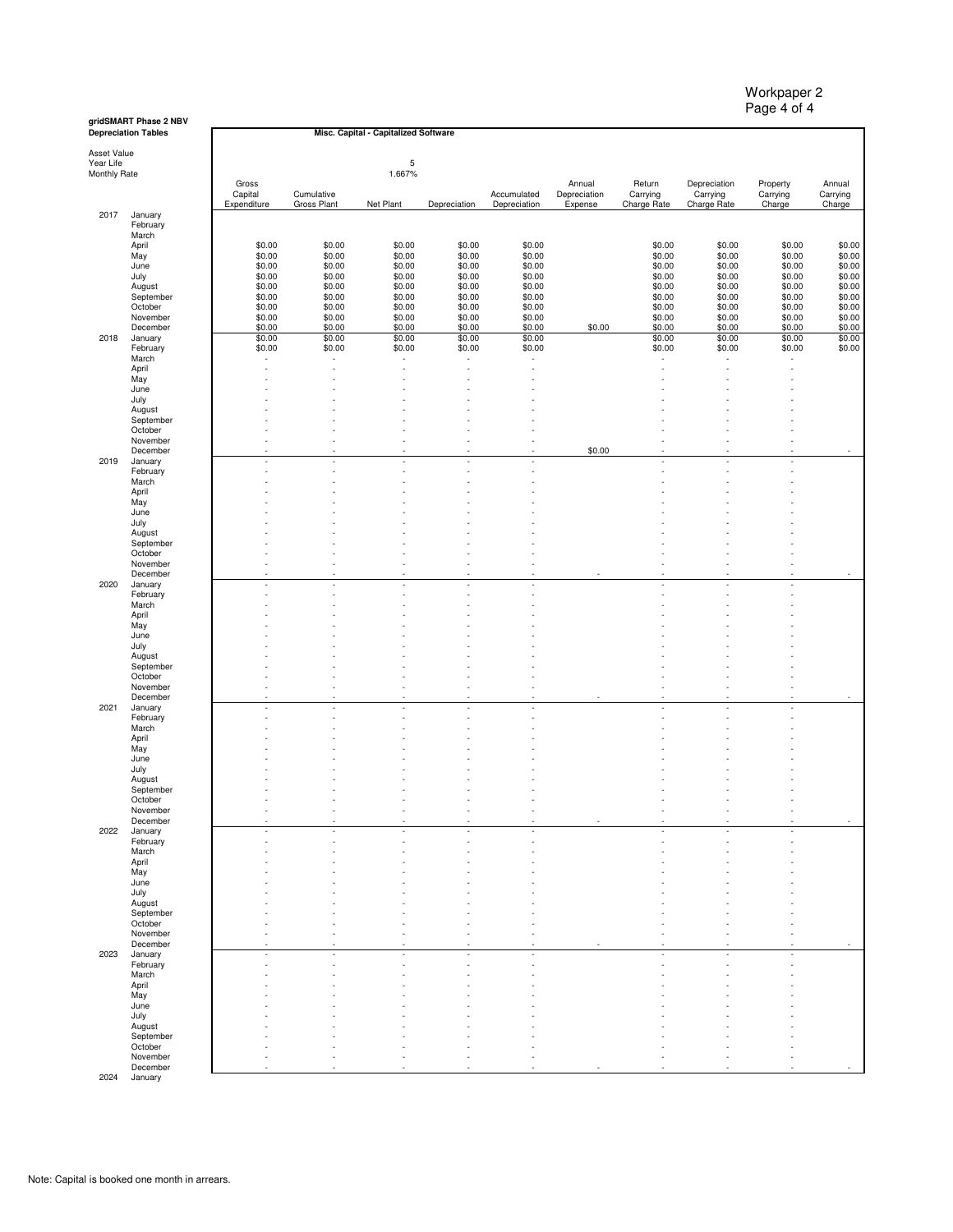**gridSMART Phase 2 NBV Depreciation Tables**

 $\overline{1}$ 

Asset Value Year Life Monthly Rate

| <b>MONTHLY HATE</b> |  |
|---------------------|--|
|                     |  |

2017

2018

2019

2020

2021

2022

2023

| tion Tables          |                  |                  | Misc. Capital - Capitalized Software |                  |                  |              |                  |                  |                  |                  |
|----------------------|------------------|------------------|--------------------------------------|------------------|------------------|--------------|------------------|------------------|------------------|------------------|
|                      |                  |                  |                                      |                  |                  |              |                  |                  |                  |                  |
| ue                   |                  |                  | 5                                    |                  |                  |              |                  |                  |                  |                  |
| late                 |                  |                  | 1.667%                               |                  |                  |              |                  |                  |                  |                  |
|                      | Gross            |                  |                                      |                  |                  | Annual       | Return           | Depreciation     | Property         | Annual           |
|                      | Capital          | Cumulative       |                                      |                  | Accumulated      | Depreciation | Carrying         | Carrying         | Carrying         | Carrying         |
| January              | Expenditure      | Gross Plant      | Net Plant                            | Depreciation     | Depreciation     | Expense      | Charge Rate      | Charge Rate      | Charge           | Charge           |
| February             |                  |                  |                                      |                  |                  |              |                  |                  |                  |                  |
| March                |                  |                  |                                      |                  |                  |              |                  |                  |                  |                  |
| April                | \$0.00           | \$0.00           | \$0.00                               | \$0.00           | \$0.00           |              | \$0.00           | \$0.00           | \$0.00           | \$0.00           |
| May                  | \$0.00           | \$0.00           | \$0.00                               | \$0.00           | \$0.00           |              | \$0.00           | \$0.00           | \$0.00           | \$0.00           |
| June<br>July         | \$0.00<br>\$0.00 | \$0.00<br>\$0.00 | \$0.00<br>\$0.00                     | \$0.00<br>\$0.00 | \$0.00<br>\$0.00 |              | \$0.00<br>\$0.00 | \$0.00<br>\$0.00 | \$0.00<br>\$0.00 | \$0.00<br>\$0.00 |
| August               | \$0.00           | \$0.00           | \$0.00                               | \$0.00           | \$0.00           |              | \$0.00           | \$0.00           | \$0.00           | \$0.00           |
| September            | \$0.00           | \$0.00           | \$0.00                               | \$0.00           | \$0.00           |              | \$0.00           | \$0.00           | \$0.00           | \$0.00           |
| October              | \$0.00           | \$0.00           | \$0.00                               | \$0.00           | \$0.00           |              | \$0.00           | \$0.00           | \$0.00           | \$0.00           |
| November             | \$0.00           | \$0.00           | \$0.00                               | \$0.00           | \$0.00           |              | \$0.00           | \$0.00           | \$0.00           | \$0.00           |
| December             | \$0.00           | \$0.00           | \$0.00                               | \$0.00           | \$0.00<br>\$0.00 | \$0.00       | \$0.00<br>\$0.00 | \$0.00           | \$0.00           | \$0.00           |
| January<br>February  | \$0.00<br>\$0.00 | \$0.00<br>\$0.00 | \$0.00<br>\$0.00                     | \$0.00<br>\$0.00 | \$0.00           |              | \$0.00           | \$0.00<br>\$0.00 | \$0.00<br>\$0.00 | \$0.00<br>\$0.00 |
| March                |                  |                  |                                      |                  |                  |              |                  |                  |                  |                  |
| April                |                  |                  |                                      |                  |                  |              |                  |                  |                  |                  |
| May                  |                  |                  |                                      |                  |                  |              |                  |                  |                  |                  |
| June                 |                  |                  |                                      |                  |                  |              |                  |                  |                  |                  |
| July<br>August       |                  |                  |                                      |                  |                  |              |                  |                  |                  |                  |
| September            |                  |                  |                                      |                  |                  |              |                  |                  |                  |                  |
| October              |                  |                  |                                      |                  |                  |              |                  |                  |                  |                  |
| November             |                  |                  |                                      |                  |                  |              |                  |                  |                  |                  |
| December             |                  |                  |                                      |                  |                  | \$0.00       |                  |                  |                  |                  |
| January<br>February  |                  |                  |                                      |                  |                  |              |                  |                  |                  |                  |
| March                |                  |                  |                                      |                  |                  |              |                  |                  |                  |                  |
| April                |                  |                  |                                      |                  |                  |              |                  |                  |                  |                  |
| May                  |                  |                  |                                      |                  |                  |              |                  |                  |                  |                  |
| June                 |                  |                  |                                      |                  |                  |              |                  |                  |                  |                  |
| July                 |                  |                  |                                      |                  |                  |              |                  |                  |                  |                  |
| August<br>September  |                  |                  |                                      |                  |                  |              |                  |                  |                  |                  |
| October              |                  |                  |                                      |                  |                  |              |                  |                  |                  |                  |
| November             |                  |                  |                                      |                  |                  |              |                  |                  |                  |                  |
| December             | ×                | ٠                | ×                                    |                  |                  |              |                  |                  |                  |                  |
| January              |                  |                  |                                      |                  |                  |              |                  |                  |                  |                  |
| February<br>March    |                  |                  |                                      |                  |                  |              |                  |                  |                  |                  |
| April                |                  |                  |                                      |                  |                  |              |                  |                  |                  |                  |
| May                  |                  |                  |                                      |                  |                  |              |                  |                  |                  |                  |
| June                 |                  |                  |                                      |                  |                  |              |                  |                  |                  |                  |
| July                 |                  |                  |                                      |                  |                  |              |                  |                  |                  |                  |
| August               |                  |                  |                                      |                  |                  |              |                  |                  |                  |                  |
| September<br>October |                  |                  |                                      |                  |                  |              |                  |                  |                  |                  |
| November             |                  |                  |                                      |                  |                  |              |                  |                  |                  |                  |
| December             |                  |                  |                                      |                  |                  |              |                  |                  |                  |                  |
| January              |                  |                  |                                      |                  |                  |              |                  |                  |                  |                  |
| February             |                  |                  |                                      |                  |                  |              |                  |                  |                  |                  |
| March<br>April       |                  |                  |                                      |                  |                  |              |                  |                  |                  |                  |
| May                  |                  |                  |                                      |                  |                  |              |                  |                  |                  |                  |
| June                 |                  |                  |                                      |                  |                  |              |                  |                  |                  |                  |
| July                 |                  |                  |                                      |                  |                  |              |                  |                  |                  |                  |
| August               |                  |                  |                                      |                  |                  |              |                  |                  |                  |                  |
| September<br>October |                  |                  |                                      |                  |                  |              |                  |                  |                  |                  |
| November             |                  |                  |                                      |                  |                  |              |                  |                  |                  |                  |
| December             |                  |                  |                                      |                  |                  |              |                  |                  |                  |                  |
| January              |                  |                  |                                      |                  |                  |              |                  |                  |                  |                  |
| February             |                  |                  |                                      |                  |                  |              |                  |                  |                  |                  |
| March                |                  |                  |                                      |                  |                  |              |                  |                  |                  |                  |
| April<br>May         |                  |                  |                                      |                  |                  |              |                  |                  |                  |                  |
| June                 |                  |                  |                                      |                  |                  |              |                  |                  |                  |                  |
| July                 |                  |                  |                                      |                  |                  |              |                  |                  |                  |                  |
| August               |                  |                  |                                      |                  |                  |              |                  |                  |                  |                  |
| September            |                  |                  |                                      |                  |                  |              |                  |                  |                  |                  |
| October<br>November  |                  |                  |                                      |                  |                  |              |                  |                  |                  |                  |
| December             |                  |                  |                                      |                  |                  |              |                  |                  |                  |                  |
| January              | ٠                |                  | ×                                    |                  |                  |              | ÷.               |                  |                  |                  |
| February             |                  |                  |                                      |                  |                  |              |                  |                  |                  |                  |
| March                |                  |                  |                                      |                  |                  |              |                  |                  |                  |                  |
| April                |                  |                  |                                      |                  |                  |              |                  |                  |                  |                  |
| May<br>June          |                  |                  |                                      |                  |                  |              |                  |                  |                  |                  |
| July                 |                  |                  |                                      |                  |                  |              |                  |                  |                  |                  |
| August               |                  |                  |                                      |                  |                  |              |                  |                  |                  |                  |
| September            |                  |                  |                                      |                  |                  |              |                  |                  |                  |                  |
| October              |                  |                  |                                      |                  |                  |              |                  |                  |                  |                  |
| November             |                  |                  |                                      |                  |                  |              |                  |                  |                  |                  |
| December             |                  |                  |                                      |                  |                  |              |                  |                  |                  |                  |

November December 2024 January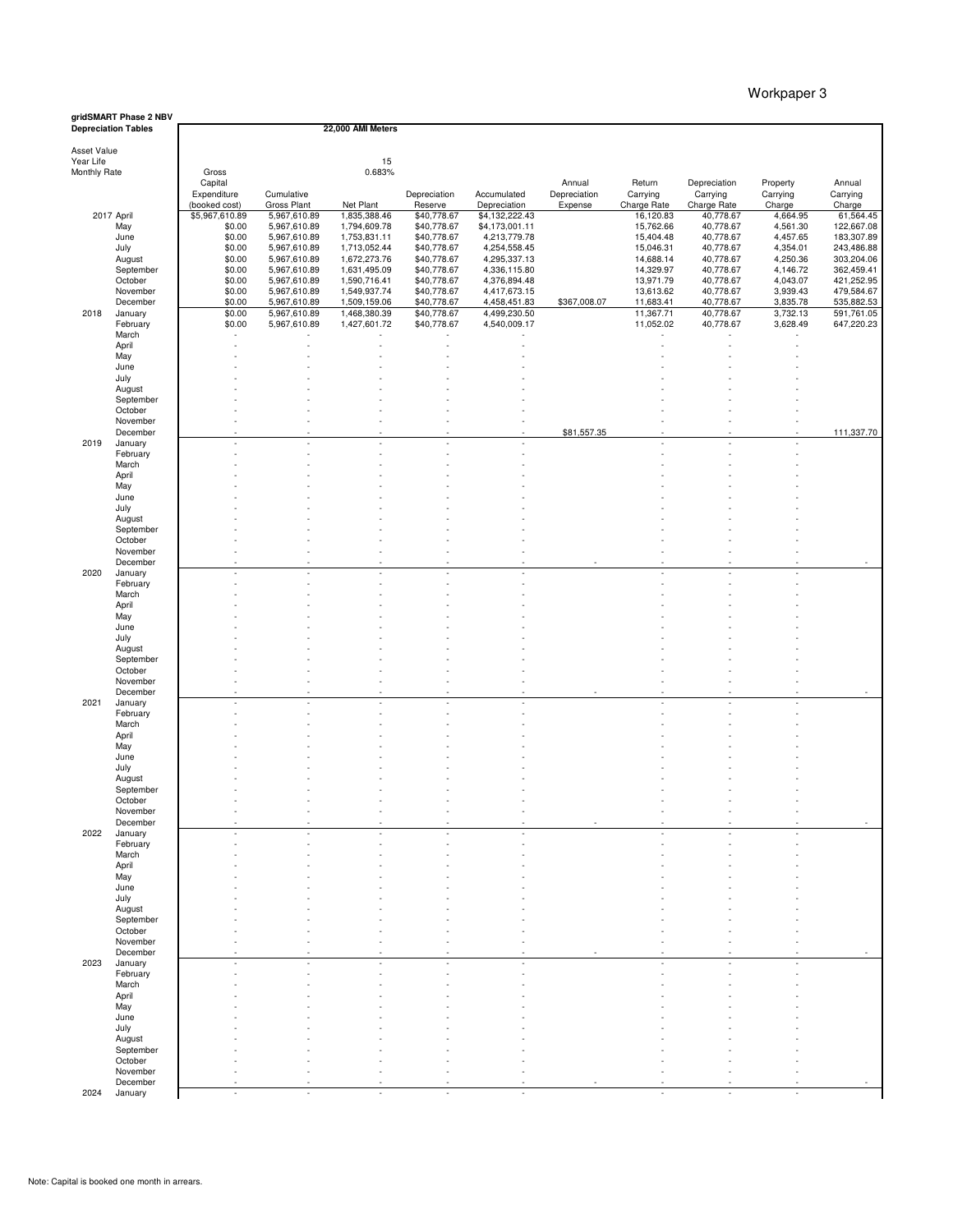|                                          | gridSMART Phase 2 NBV<br><b>Depreciation Tables</b>                             |                                                                                                       |                                                                                                                                             | 22,000 AMI Meters                                                                                                                         |                                                                                                                                 |                                                                                                                                                  |                        |                                                                                                                     |                                                                                                                     |                                                                                                        |                                                                                                                       |
|------------------------------------------|---------------------------------------------------------------------------------|-------------------------------------------------------------------------------------------------------|---------------------------------------------------------------------------------------------------------------------------------------------|-------------------------------------------------------------------------------------------------------------------------------------------|---------------------------------------------------------------------------------------------------------------------------------|--------------------------------------------------------------------------------------------------------------------------------------------------|------------------------|---------------------------------------------------------------------------------------------------------------------|---------------------------------------------------------------------------------------------------------------------|--------------------------------------------------------------------------------------------------------|-----------------------------------------------------------------------------------------------------------------------|
| Asset Value<br>Year Life<br>Monthly Rate |                                                                                 | Gross<br>Capital<br>Expenditure                                                                       | Cumulative                                                                                                                                  | 15<br>0.683%                                                                                                                              | Depreciation                                                                                                                    | Accumulated                                                                                                                                      | Annual<br>Depreciation | Return<br>Carrying                                                                                                  | Depreciation<br>Carrying                                                                                            | Property<br>Carrying                                                                                   | Annual<br>Carrying                                                                                                    |
|                                          | 2017 April<br>May<br>June<br>July<br>August<br>September<br>October<br>November | (booked cost)<br>\$5,967,610.89<br>\$0.00<br>\$0.00<br>\$0.00<br>\$0.00<br>\$0.00<br>\$0.00<br>\$0.00 | Gross Plant<br>5,967,610.89<br>5,967,610.89<br>5,967,610.89<br>5,967,610.89<br>5,967,610.89<br>5,967,610.89<br>5,967,610.89<br>5,967,610.89 | Net Plant<br>1,835,388.46<br>1,794,609.78<br>1,753,831.11<br>1,713,052.44<br>1,672,273.76<br>1,631,495.09<br>1,590,716.41<br>1,549,937.74 | Reserve<br>\$40,778.67<br>\$40,778.67<br>\$40,778.67<br>\$40,778.67<br>\$40,778.67<br>\$40,778.67<br>\$40,778.67<br>\$40,778.67 | Depreciation<br>\$4,132,222.43<br>\$4,173,001.11<br>4,213,779.78<br>4,254,558.45<br>4,295,337.13<br>4,336,115.80<br>4,376,894.48<br>4,417,673.15 | Expense                | Charge Rate<br>16,120.83<br>15,762.66<br>15,404.48<br>15,046.31<br>14,688.14<br>14,329.97<br>13,971.79<br>13,613.62 | Charge Rate<br>40,778.67<br>40,778.67<br>40,778.67<br>40,778.67<br>40,778.67<br>40,778.67<br>40,778.67<br>40,778.67 | Charge<br>4,664.95<br>4,561.30<br>4,457.65<br>4,354.01<br>4,250.36<br>4,146.72<br>4,043.07<br>3,939.43 | Charge<br>61,564.45<br>122,667.08<br>183,307.89<br>243,486.88<br>303,204.06<br>362,459.41<br>421,252.95<br>479,584.67 |
| 2018                                     | December<br>January<br>February<br>March                                        | \$0.00<br>\$0.00<br>\$0.00                                                                            | 5,967,610.89<br>5,967,610.89<br>5,967,610.89                                                                                                | 1,509,159.06<br>1,468,380.39<br>1,427,601.72                                                                                              | \$40,778.67<br>\$40,778.67<br>\$40,778.67                                                                                       | 4,458,451.83<br>4,499,230.50<br>4,540,009.17                                                                                                     | \$367,008.07           | 11,683.41<br>11,367.71<br>11,052.02                                                                                 | 40,778.67<br>40,778.67<br>40,778.67                                                                                 | 3,835.78<br>3,732.13<br>3,628.49                                                                       | 535,882.53<br>591,761.05<br>647,220.23                                                                                |
|                                          | April<br>May<br>June<br>July<br>August                                          |                                                                                                       |                                                                                                                                             |                                                                                                                                           |                                                                                                                                 |                                                                                                                                                  |                        |                                                                                                                     |                                                                                                                     |                                                                                                        |                                                                                                                       |
|                                          | September<br>October<br>November<br>December                                    |                                                                                                       |                                                                                                                                             |                                                                                                                                           |                                                                                                                                 |                                                                                                                                                  | \$81,557.35            |                                                                                                                     |                                                                                                                     |                                                                                                        | 111,337.70                                                                                                            |
| 2019                                     | January<br>February<br>March<br>April                                           |                                                                                                       |                                                                                                                                             |                                                                                                                                           |                                                                                                                                 |                                                                                                                                                  |                        |                                                                                                                     |                                                                                                                     |                                                                                                        |                                                                                                                       |
|                                          | May<br>June<br>July<br>August                                                   |                                                                                                       |                                                                                                                                             |                                                                                                                                           |                                                                                                                                 |                                                                                                                                                  |                        |                                                                                                                     |                                                                                                                     |                                                                                                        |                                                                                                                       |
| 2020                                     | September<br>October<br>November<br>December<br>January                         |                                                                                                       |                                                                                                                                             |                                                                                                                                           |                                                                                                                                 |                                                                                                                                                  |                        |                                                                                                                     |                                                                                                                     |                                                                                                        |                                                                                                                       |
|                                          | February<br>March<br>April<br>May                                               |                                                                                                       |                                                                                                                                             |                                                                                                                                           |                                                                                                                                 |                                                                                                                                                  |                        |                                                                                                                     |                                                                                                                     |                                                                                                        |                                                                                                                       |
|                                          | June<br>July<br>August<br>September                                             |                                                                                                       |                                                                                                                                             |                                                                                                                                           |                                                                                                                                 |                                                                                                                                                  |                        |                                                                                                                     |                                                                                                                     |                                                                                                        |                                                                                                                       |
| 2021                                     | October<br>November<br>December<br>January                                      |                                                                                                       |                                                                                                                                             |                                                                                                                                           |                                                                                                                                 |                                                                                                                                                  |                        |                                                                                                                     |                                                                                                                     |                                                                                                        |                                                                                                                       |
|                                          | February<br>March<br>April<br>May<br>June                                       |                                                                                                       |                                                                                                                                             |                                                                                                                                           |                                                                                                                                 |                                                                                                                                                  |                        |                                                                                                                     |                                                                                                                     |                                                                                                        |                                                                                                                       |
|                                          | July<br>August<br>September<br>October<br>November                              |                                                                                                       |                                                                                                                                             |                                                                                                                                           |                                                                                                                                 |                                                                                                                                                  |                        |                                                                                                                     |                                                                                                                     |                                                                                                        |                                                                                                                       |
| 2022                                     | December<br>January<br>February<br>March                                        |                                                                                                       |                                                                                                                                             | ٠                                                                                                                                         |                                                                                                                                 |                                                                                                                                                  |                        |                                                                                                                     |                                                                                                                     |                                                                                                        |                                                                                                                       |
|                                          | April<br>May<br>June<br>July                                                    |                                                                                                       |                                                                                                                                             |                                                                                                                                           |                                                                                                                                 |                                                                                                                                                  |                        |                                                                                                                     |                                                                                                                     |                                                                                                        |                                                                                                                       |
|                                          | August<br>September<br>October<br>November<br>December                          |                                                                                                       |                                                                                                                                             |                                                                                                                                           |                                                                                                                                 |                                                                                                                                                  |                        |                                                                                                                     |                                                                                                                     |                                                                                                        |                                                                                                                       |
| 2023                                     | January<br>February<br>March<br>April                                           |                                                                                                       |                                                                                                                                             |                                                                                                                                           |                                                                                                                                 |                                                                                                                                                  |                        |                                                                                                                     |                                                                                                                     |                                                                                                        |                                                                                                                       |
|                                          | May<br>June<br>July<br>August                                                   |                                                                                                       |                                                                                                                                             |                                                                                                                                           |                                                                                                                                 |                                                                                                                                                  |                        |                                                                                                                     |                                                                                                                     |                                                                                                        |                                                                                                                       |
|                                          | September<br>October<br>November<br>December                                    |                                                                                                       |                                                                                                                                             |                                                                                                                                           |                                                                                                                                 |                                                                                                                                                  |                        |                                                                                                                     |                                                                                                                     |                                                                                                        |                                                                                                                       |

2024 January 2024 January 2024 January 2024 January 2024 January 2024 January 2024 January 2024 January 2021

#### Workpaper 3